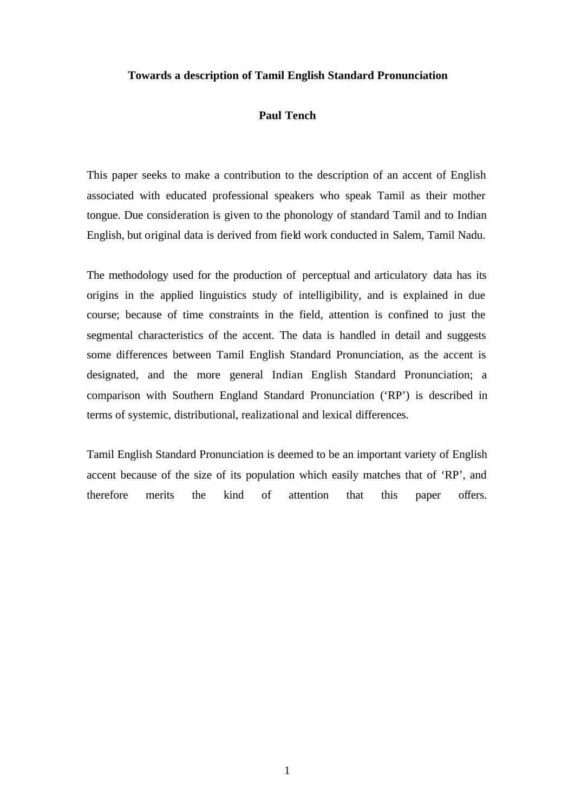### **Towards a description of Tamil English Standard Pronunciation**

# **Paul Tench**

This paper seeks to make a contribution to the description of an accent of English associated with educated professional speakers who speak Tamil as their mother tongue. Due consideration is given to the phonology of standard Tamil and to Indian English, but original data is derived from field work conducted in Salem, Tamil Nadu.

The methodology used for the production of perceptual and articulatory data has its origins in the applied linguistics study of intelligibility, and is explained in due course; because of time constraints in the field, attention is confined to just the segmental characteristics of the accent. The data is handled in detail and suggests some differences between Tamil English Standard Pronunciation, as the accent is designated, and the more general Indian English Standard Pronunciation; a comparison with Southern England Standard Pronunciation ('RP') is described in terms of systemic, distributional, realizational and lexical differences.

Tamil English Standard Pronunciation is deemed to be an important variety of English accent because of the size of its population which easily matches that of 'RP', and therefore merits the kind of attention that this paper offers.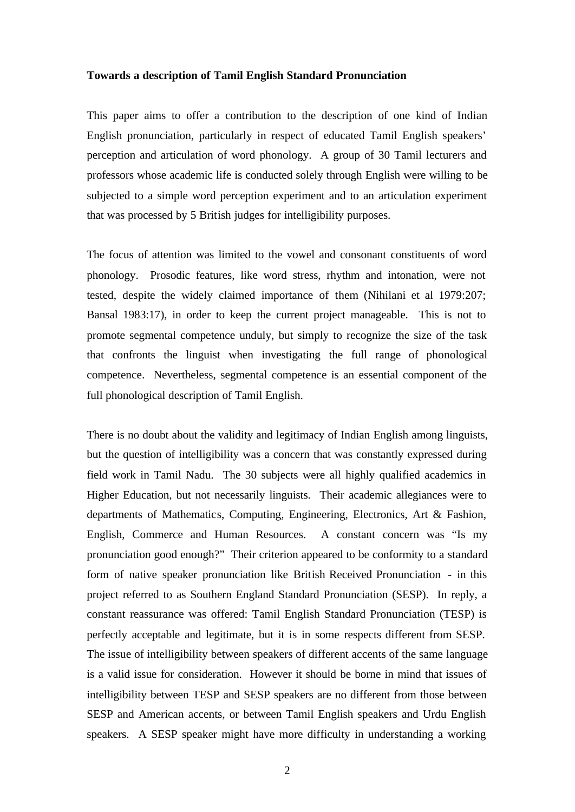#### **Towards a description of Tamil English Standard Pronunciation**

This paper aims to offer a contribution to the description of one kind of Indian English pronunciation, particularly in respect of educated Tamil English speakers' perception and articulation of word phonology. A group of 30 Tamil lecturers and professors whose academic life is conducted solely through English were willing to be subjected to a simple word perception experiment and to an articulation experiment that was processed by 5 British judges for intelligibility purposes.

The focus of attention was limited to the vowel and consonant constituents of word phonology. Prosodic features, like word stress, rhythm and intonation, were not tested, despite the widely claimed importance of them (Nihilani et al 1979:207; Bansal 1983:17), in order to keep the current project manageable. This is not to promote segmental competence unduly, but simply to recognize the size of the task that confronts the linguist when investigating the full range of phonological competence. Nevertheless, segmental competence is an essential component of the full phonological description of Tamil English.

There is no doubt about the validity and legitimacy of Indian English among linguists, but the question of intelligibility was a concern that was constantly expressed during field work in Tamil Nadu. The 30 subjects were all highly qualified academics in Higher Education, but not necessarily linguists. Their academic allegiances were to departments of Mathematics, Computing, Engineering, Electronics, Art & Fashion, English, Commerce and Human Resources. A constant concern was "Is my pronunciation good enough?" Their criterion appeared to be conformity to a standard form of native speaker pronunciation like British Received Pronunciation - in this project referred to as Southern England Standard Pronunciation (SESP). In reply, a constant reassurance was offered: Tamil English Standard Pronunciation (TESP) is perfectly acceptable and legitimate, but it is in some respects different from SESP. The issue of intelligibility between speakers of different accents of the same language is a valid issue for consideration. However it should be borne in mind that issues of intelligibility between TESP and SESP speakers are no different from those between SESP and American accents, or between Tamil English speakers and Urdu English speakers. A SESP speaker might have more difficulty in understanding a working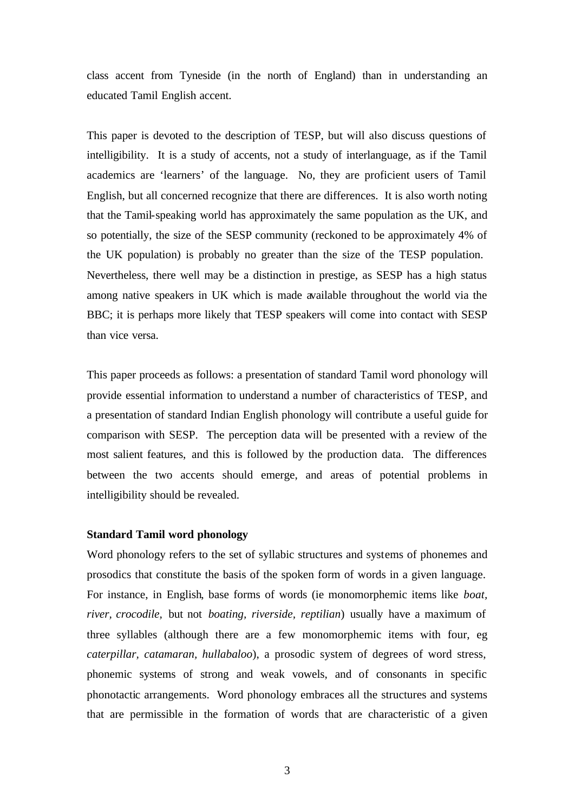class accent from Tyneside (in the north of England) than in understanding an educated Tamil English accent.

This paper is devoted to the description of TESP, but will also discuss questions of intelligibility. It is a study of accents, not a study of interlanguage, as if the Tamil academics are 'learners' of the language. No, they are proficient users of Tamil English, but all concerned recognize that there are differences. It is also worth noting that the Tamil-speaking world has approximately the same population as the UK, and so potentially, the size of the SESP community (reckoned to be approximately 4% of the UK population) is probably no greater than the size of the TESP population. Nevertheless, there well may be a distinction in prestige, as SESP has a high status among native speakers in UK which is made available throughout the world via the BBC; it is perhaps more likely that TESP speakers will come into contact with SESP than vice versa.

This paper proceeds as follows: a presentation of standard Tamil word phonology will provide essential information to understand a number of characteristics of TESP, and a presentation of standard Indian English phonology will contribute a useful guide for comparison with SESP. The perception data will be presented with a review of the most salient features, and this is followed by the production data. The differences between the two accents should emerge, and areas of potential problems in intelligibility should be revealed.

## **Standard Tamil word phonology**

Word phonology refers to the set of syllabic structures and systems of phonemes and prosodics that constitute the basis of the spoken form of words in a given language. For instance, in English, base forms of words (ie monomorphemic items like *boat, river, crocodile,* but not *boating, riverside, reptilian*) usually have a maximum of three syllables (although there are a few monomorphemic items with four, eg *caterpillar, catamaran, hullabaloo*), a prosodic system of degrees of word stress, phonemic systems of strong and weak vowels, and of consonants in specific phonotactic arrangements. Word phonology embraces all the structures and systems that are permissible in the formation of words that are characteristic of a given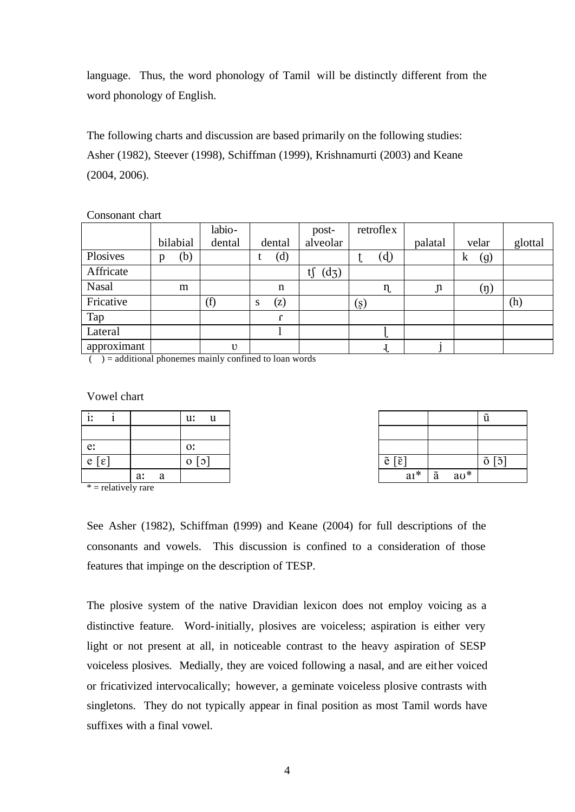language. Thus, the word phonology of Tamil will be distinctly different from the word phonology of English.

The following charts and discussion are based primarily on the following studies: Asher (1982), Steever (1998), Schiffman (1999), Krishnamurti (2003) and Keane (2004, 2006).

# Consonant chart

|             |   |          | labio-     |        |             | post-         |         | retroflex |               |                  |         |
|-------------|---|----------|------------|--------|-------------|---------------|---------|-----------|---------------|------------------|---------|
|             |   | bilabial | dental     |        | dental      | alveolar      |         |           | palatal       | velar            | glottal |
| Plosives    | p | (b)      |            |        | (d)         |               | v       | (d)       |               | (g)<br>k         |         |
| Affricate   |   |          |            |        |             | tf<br>$(d_3)$ |         |           |               |                  |         |
| Nasal       |   | m        |            |        | $\mathbf n$ |               |         | $\eta$    | $\mathfrak n$ | $(\mathfrak{y})$ |         |
| Fricative   |   |          | (f)        | O<br>ь | (z)         |               | $(\xi)$ |           |               |                  | (h)     |
| Tap         |   |          |            |        |             |               |         |           |               |                  |         |
| Lateral     |   |          |            |        |             |               |         | ι.        |               |                  |         |
| approximant |   |          | $\upsilon$ |        |             |               |         | ન         |               |                  |         |

 $($ ) = additional phonemes mainly confined to loan words

# Vowel chart

| -11                   |         | u:<br>u                       |                                |             | u                                                         |
|-----------------------|---------|-------------------------------|--------------------------------|-------------|-----------------------------------------------------------|
|                       |         |                               |                                |             |                                                           |
| e:                    |         | O <sub>i</sub>                |                                |             |                                                           |
| $ e $ $ \varepsilon $ |         | $\mathcal{L}$<br>$\mathbf{O}$ | $\tilde{e} [\tilde{\epsilon}]$ |             | $\lceil 5 \rceil$<br>$\tilde{\phantom{a}}$<br>$\mathbf 0$ |
|                       | a:<br>a |                               | $aI^*$                         | $av^*$<br>ã |                                                           |

 $*$  = relatively rare

| $\tilde{e} [\tilde{\epsilon}]$ |   |        | $\tilde{o} [\tilde{o}]$ |
|--------------------------------|---|--------|-------------------------|
| $aI^*$                         | ã | $av^*$ |                         |

See Asher (1982), Schiffman (1999) and Keane (2004) for full descriptions of the consonants and vowels. This discussion is confined to a consideration of those features that impinge on the description of TESP.

The plosive system of the native Dravidian lexicon does not employ voicing as a distinctive feature. Word-initially, plosives are voiceless; aspiration is either very light or not present at all, in noticeable contrast to the heavy aspiration of SESP voiceless plosives. Medially, they are voiced following a nasal, and are either voiced or fricativized intervocalically; however, a geminate voiceless plosive contrasts with singletons. They do not typically appear in final position as most Tamil words have suffixes with a final vowel.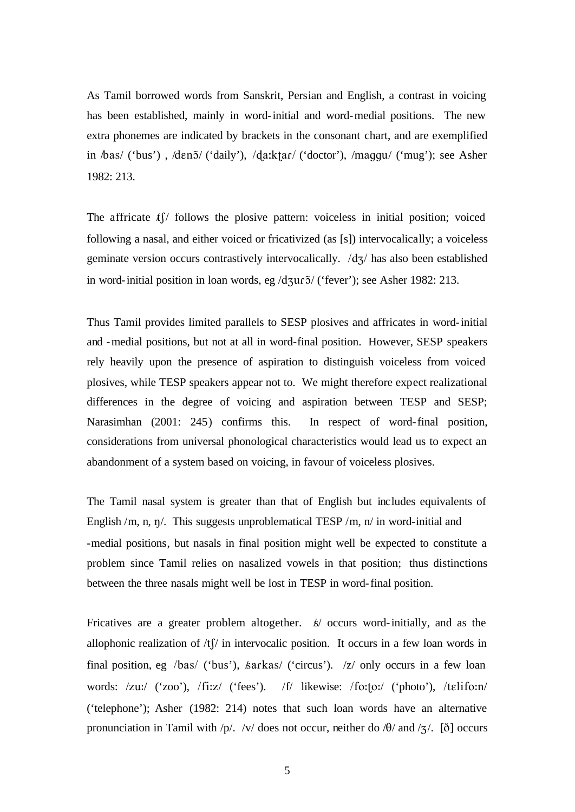As Tamil borrowed words from Sanskrit, Persian and English, a contrast in voicing has been established, mainly in word-initial and word-medial positions. The new extra phonemes are indicated by brackets in the consonant chart, and are exemplified in  $\delta$ as/ ('bus'), /dɛnɔ̃/ ('daily'), /daːktar/ ('doctor'), /maggu/ ('mug'); see Asher 1982: 213.

The affricate  $t\int$  follows the plosive pattern: voiceless in initial position; voiced following a nasal, and either voiced or fricativized (as [s]) intervocalically; a voiceless geminate version occurs contrastively intervocalically.  $/dz/d$  has also been established in word-initial position in loan words, eg  $\frac{\text{d}}{\text{d}}\frac{\text{d}}{\text{d}t}$  ('fever'); see Asher 1982: 213.

Thus Tamil provides limited parallels to SESP plosives and affricates in word-initial and -medial positions, but not at all in word-final position. However, SESP speakers rely heavily upon the presence of aspiration to distinguish voiceless from voiced plosives, while TESP speakers appear not to. We might therefore expect realizational differences in the degree of voicing and aspiration between TESP and SESP; Narasimhan (2001: 245) confirms this. In respect of word-final position, considerations from universal phonological characteristics would lead us to expect an abandonment of a system based on voicing, in favour of voiceless plosives.

The Tamil nasal system is greater than that of English but includes equivalents of English /m, n,  $\eta$ . This suggests unproblematical TESP /m,  $\eta$  in word-initial and -medial positions, but nasals in final position might well be expected to constitute a problem since Tamil relies on nasalized vowels in that position; thus distinctions between the three nasals might well be lost in TESP in word-final position.

Fricatives are a greater problem altogether.  $\frac{k}{\sqrt{2}}$  occurs word-initially, and as the allophonic realization of  $/t$  in intervocalic position. It occurs in a few loan words in final position, eg /bas/ ('bus'),  $\frac{\hbar^2}{\hbar^2}$  ('circus'). /z/ only occurs in a few loan words: /zu:/ ('zoo'), /fi:z/ ('fees'). /f/ likewise: /fo:to:/ ('photo'), /telifo:n/ ('telephone'); Asher (1982: 214) notes that such loan words have an alternative pronunciation in Tamil with  $/p/$ . /v/ does not occur, neither do / $\theta$ / and / $\zeta$ /. [ $\delta$ ] occurs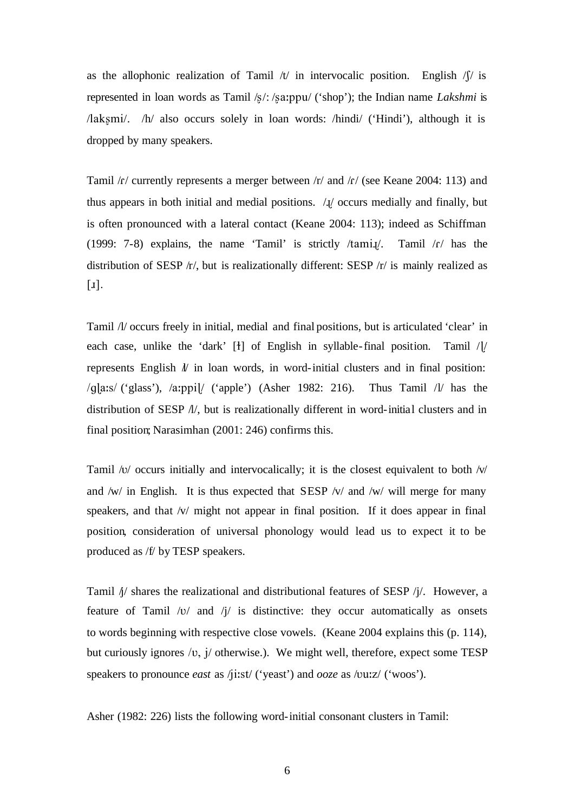as the allophonic realization of Tamil  $/t/$  in intervocalic position. English  $/f/$  is represented in loan words as Tamil /s/: /sa:ppu/ ('shop'); the Indian name *Lakshmi* is /laksmi/. /h/ also occurs solely in loan words: /hindi/ ('Hindi'), although it is dropped by many speakers.

Tamil  $/r$  currently represents a merger between  $/r$  and  $/r$  (see Keane 2004: 113) and thus appears in both initial and medial positions.  $\lambda$ <sup> $\chi$ </sup> occurs medially and finally, but is often pronounced with a lateral contact (Keane 2004: 113); indeed as Schiffman (1999: 7-8) explains, the name 'Tamil' is strictly /tamil. Tamil / $f$  has the distribution of SESP /r/, but is realizationally different: SESP /r/ is mainly realized as  $\lceil \mathbf{I} \rceil$ .

Tamil /l/ occurs freely in initial, medial and final positions, but is articulated 'clear' in each case, unlike the 'dark'  $[t]$  of English in syllable-final position. Tamil / $[t]$ represents English  $\ell$  in loan words, in word-initial clusters and in final position:  $\ell$ q $\vert$ a:s/ ('glass'),  $\ell$ a:ppi $\vert$ / ('apple') (Asher 1982: 216). Thus Tamil  $\ell$  has the distribution of SESP /l/, but is realizationally different in word-initial clusters and in final position; Narasimhan (2001: 246) confirms this.

Tamil  $\sqrt{v}$  occurs initially and intervocalically; it is the closest equivalent to both  $\sqrt{v}$ and  $\sqrt{w}$  in English. It is thus expected that SESP  $\sqrt{v}$  and  $\sqrt{w}$  will merge for many speakers, and that /v/ might not appear in final position. If it does appear in final position, consideration of universal phonology would lead us to expect it to be produced as /f/ by TESP speakers.

Tamil  $\frac{1}{4}$  shares the realizational and distributional features of SESP  $\frac{1}{4}$ . However, a feature of Tamil  $\sqrt{v}$  and  $\sqrt{\frac{v}{v}}$  is distinctive: they occur automatically as onsets to words beginning with respective close vowels. (Keane 2004 explains this (p. 114), but curiously ignores  $/v$ , j/ otherwise.). We might well, therefore, expect some TESP speakers to pronounce *east* as /ji:st/ ('yeast') and *ooze* as /vu:z/ ('woos').

Asher (1982: 226) lists the following word-initial consonant clusters in Tamil: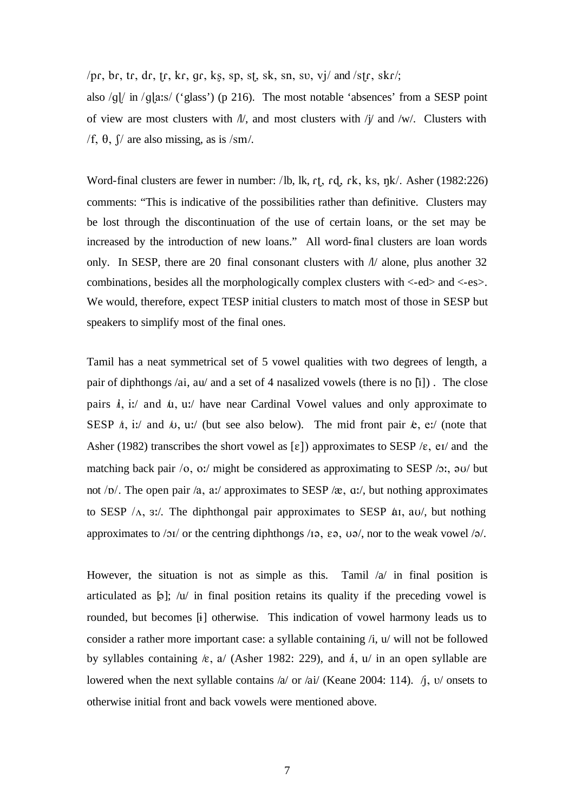/pr, br, tr, dr, tr, kr, gr, kg, sp, st, sk, sn, sv, vj/ and /str, skr/;

also  $/g\psi$  in  $/g\psi$  ('glass') (p 216). The most notable 'absences' from a SESP point of view are most clusters with  $N$ , and most clusters with  $j/\gamma$  and  $\gamma$ w. Clusters with /f,  $\theta$ ,  $\int$  are also missing, as is /sm/.

Word-final clusters are fewer in number: /lb, lk,  $r_1$ ,  $r_2$ ,  $r_3$ ,  $r_4$ ,  $k_s$ ,  $n_k$ /. Asher (1982:226) comments: "This is indicative of the possibilities rather than definitive. Clusters may be lost through the discontinuation of the use of certain loans, or the set may be increased by the introduction of new loans." All word-final clusters are loan words only. In SESP, there are 20 final consonant clusters with  $\Lambda$  alone, plus another 32 combinations, besides all the morphologically complex clusters with <-ed> and <-es>. We would, therefore, expect TESP initial clusters to match most of those in SESP but speakers to simplify most of the final ones.

Tamil has a neat symmetrical set of 5 vowel qualities with two degrees of length, a pair of diphthongs /ai, au/ and a set of 4 nasalized vowels (there is no  $\lceil i \rceil$ ). The close pairs  $\dot{i}$ , i:/ and  $\dot{\mu}$ , u:/ have near Cardinal Vowel values and only approximate to SESP  $\Lambda$ , i:/ and  $\Lambda$ , u:/ (but see also below). The mid front pair  $\mathcal{k}$ , e:/ (note that Asher (1982) transcribes the short vowel as  $[\epsilon]$ ) approximates to SESP / $\epsilon$ , e<sub>I</sub>/ and the matching back pair  $\overline{O}$ ,  $\overline{O}$ ; might be considered as approximating to SESP  $\overline{O}$ ;  $\overline{O}$  but not  $\sqrt{D}$ . The open pair /a, a:/ approximates to SESP / $\alpha$ , a:/, but nothing approximates to SESP  $/\Lambda$ , 3:/. The diphthongal pair approximates to SESP  $\Delta I$ , au, but nothing approximates to / $\frac{1}{2}$  or the centring diphthongs /1. E. U. U. nor to the weak vowel / $\frac{1}{2}$ .

However, the situation is not as simple as this. Tamil  $\alpha$  in final position is articulated as  $[\phi]$ ; /u/ in final position retains its quality if the preceding vowel is rounded, but becomes [1] otherwise. This indication of vowel harmony leads us to consider a rather more important case: a syllable containing /i, u/ will not be followed by syllables containing  $\kappa$ , a/ (Asher 1982: 229), and  $\hbar$ , u/ in an open syllable are lowered when the next syllable contains /a/ or /ai/ (Keane 2004: 114).  $\dot{\eta}$ , v/ onsets to otherwise initial front and back vowels were mentioned above.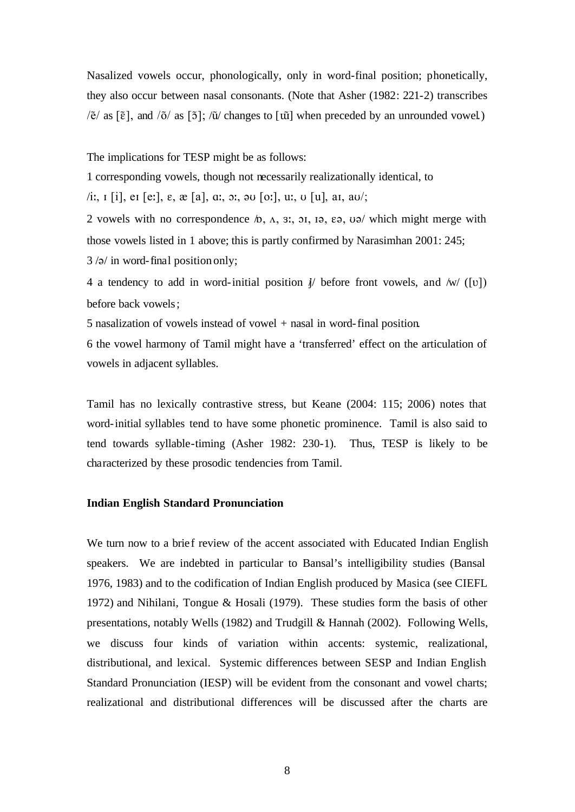Nasalized vowels occur, phonologically, only in word-final position; phonetically, they also occur between nasal consonants. (Note that Asher (1982: 221-2) transcribes  $\sqrt{\tilde{e}}$  as  $\lceil \tilde{e} \rceil$ , and  $\sqrt{\tilde{o}}$  as  $\lceil \tilde{0} \rceil$ ;  $\sqrt{\tilde{u}}$  changes to  $\lceil \tilde{u} \rceil$  when preceded by an unrounded vowel.)

The implications for TESP might be as follows:

1 corresponding vowels, though not necessarily realizationally identical, to

 $\pi$ i:,  $\pi$  [i], e $\pi$  [e:],  $\varepsilon$ ,  $\pi$  [a],  $\pi$ ,  $\pi$ ,  $\pi$ ,  $\pi$ ,  $\pi$ ,  $\pi$ ,  $\pi$ ,  $\pi$ ,  $\pi$ ,  $\pi$ ,  $\pi$ ,  $\pi$ ,  $\pi$ ,  $\pi$ ,  $\pi$ ,  $\pi$ ,  $\pi$ ,  $\pi$ ,  $\pi$ ,  $\pi$ ,  $\pi$ ,  $\pi$ ,  $\pi$ ,  $\pi$ ,  $\pi$ ,  $\pi$ ,  $\pi$ ,  $\pi$ ,  $\pi$ ,

2 vowels with no correspondence  $\pi$ ,  $\Delta$ ,  $\Delta$ ,  $\Delta$ ,  $\Delta$ ,  $\Delta$ ,  $\Delta$ ,  $\Delta$ ,  $\Delta$ ,  $\Delta$ ,  $\Delta$ ,  $\Delta$ ,  $\Delta$ ,  $\Delta$ ) which might merge with those vowels listed in 1 above; this is partly confirmed by Narasimhan 2001: 245;  $3/9/$  in word-final position only;

4 a tendency to add in word-initial position  $\psi$  before front vowels, and /w/ ([v]) before back vowels;

5 nasalization of vowels instead of vowel + nasal in word-final position.

6 the vowel harmony of Tamil might have a 'transferred' effect on the articulation of vowels in adjacent syllables.

Tamil has no lexically contrastive stress, but Keane (2004: 115; 2006) notes that word-initial syllables tend to have some phonetic prominence. Tamil is also said to tend towards syllable-timing (Asher 1982: 230-1). Thus, TESP is likely to be characterized by these prosodic tendencies from Tamil.

### **Indian English Standard Pronunciation**

We turn now to a brief review of the accent associated with Educated Indian English speakers. We are indebted in particular to Bansal's intelligibility studies (Bansal 1976, 1983) and to the codification of Indian English produced by Masica (see CIEFL 1972) and Nihilani, Tongue & Hosali (1979). These studies form the basis of other presentations, notably Wells (1982) and Trudgill & Hannah (2002). Following Wells, we discuss four kinds of variation within accents: systemic, realizational, distributional, and lexical. Systemic differences between SESP and Indian English Standard Pronunciation (IESP) will be evident from the consonant and vowel charts; realizational and distributional differences will be discussed after the charts are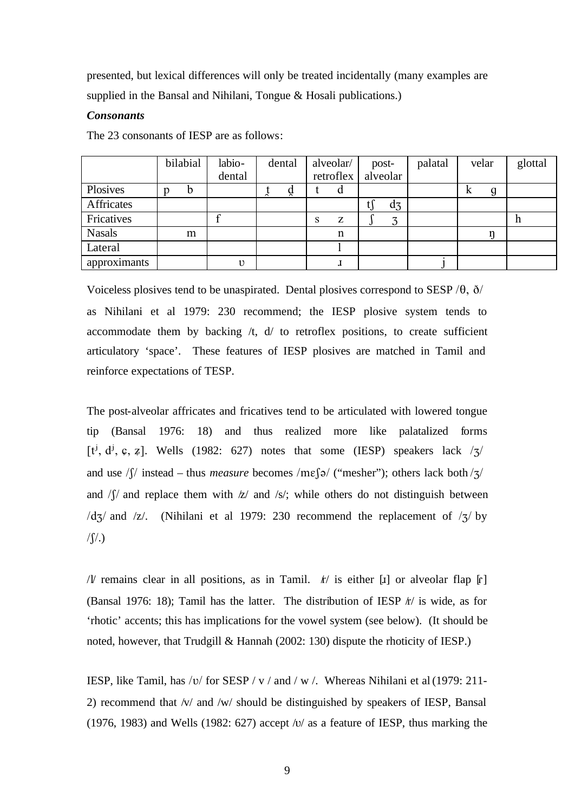presented, but lexical differences will only be treated incidentally (many examples are supplied in the Bansal and Nihilani, Tongue & Hosali publications.)

# *Consonants*

The 23 consonants of IESP are as follows:

|               | bilabial | labio-       | dental |                   | alveolar/   | post-    | palatal | velar  | glottal |
|---------------|----------|--------------|--------|-------------------|-------------|----------|---------|--------|---------|
|               |          | dental       |        |                   | retroflex   | alveolar |         |        |         |
| Plosives      | b        |              | ă      |                   | a           |          |         | g<br>л |         |
| Affricates    |          |              |        |                   |             | $d_3$    |         |        |         |
| Fricatives    |          |              |        | $\mathbf{C}$<br>ð | Z           | ス<br>ر،  |         |        | h       |
| <b>Nasals</b> | m        |              |        |                   | $\mathbf n$ |          |         |        |         |
| Lateral       |          |              |        |                   |             |          |         |        |         |
| approximants  |          | $\mathbf{1}$ |        |                   |             |          |         |        |         |

Voiceless plosives tend to be unaspirated. Dental plosives correspond to SESP  $/\theta$ ,  $\delta$ as Nihilani et al 1979: 230 recommend; the IESP plosive system tends to accommodate them by backing  $/t$ ,  $d/$  to retroflex positions, to create sufficient articulatory 'space'. These features of IESP plosives are matched in Tamil and reinforce expectations of TESP.

The post-alveolar affricates and fricatives tend to be articulated with lowered tongue tip (Bansal 1976: 18) and thus realized more like palatalized forms [t<sup>j</sup>, d<sup>j</sup>, c, z]. Wells (1982: 627) notes that some (IESP) speakers lack  $\frac{1}{3}$ and use  $\sqrt{}$  instead – thus *measure* becomes /m $\varepsilon$ [a/ ("mesher"); others lack both / $\frac{1}{2}$ / and  $\sqrt{y}$  and replace them with  $\sqrt{z}$  and  $\sqrt{s}$ ; while others do not distinguish between  $\frac{d}{3}$  and  $\frac{z}{.}$  (Nihilani et al 1979: 230 recommend the replacement of  $\frac{z}{3}$  by  $/$  $\int$  $/$ .)

/*l* remains clear in all positions, as in Tamil.  $k$  is either [1] or alveolar flap [1] (Bansal 1976: 18); Tamil has the latter. The distribution of IESP  $f/$  is wide, as for 'rhotic' accents; this has implications for the vowel system (see below). (It should be noted, however, that Trudgill & Hannah (2002: 130) dispute the rhoticity of IESP.)

IESP, like Tamil, has /v/ for SESP / v / and / w /. Whereas Nihilani et al (1979: 211-2) recommend that /v/ and /w/ should be distinguished by speakers of IESP, Bansal (1976, 1983) and Wells (1982: 627) accept  $\sqrt{v}$  as a feature of IESP, thus marking the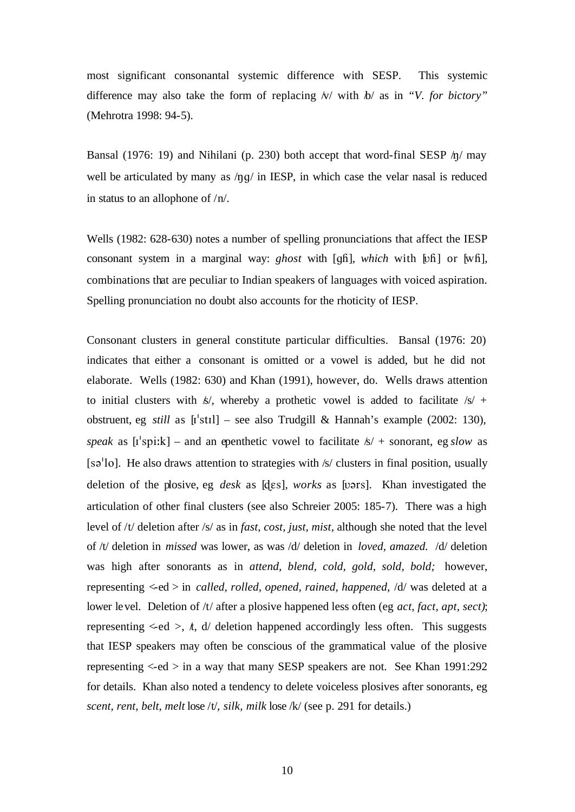most significant consonantal systemic difference with SESP. This systemic difference may also take the form of replacing  $\sqrt{v}$  with  $\sqrt{b}$  as in *"V. for bictory*" (Mehrotra 1998: 94-5).

Bansal (1976: 19) and Nihilani (p. 230) both accept that word-final SESP  $/\eta$  may well be articulated by many as  $/\eta g /$  in IESP, in which case the velar nasal is reduced in status to an allophone of /n/.

Wells (1982: 628-630) notes a number of spelling pronunciations that affect the IESP consonant system in a marginal way: *ghost* with [gh], *which* with [vh] or [wh], combinations that are peculiar to Indian speakers of languages with voiced aspiration. Spelling pronunciation no doubt also accounts for the rhoticity of IESP.

Consonant clusters in general constitute particular difficulties. Bansal (1976: 20) indicates that either a consonant is omitted or a vowel is added, but he did not elaborate. Wells (1982: 630) and Khan (1991), however, do. Wells draws attention to initial clusters with  $\frac{k}{2}$ , whereby a prothetic vowel is added to facilitate  $\frac{k}{2}$  + obstruent, eg *still* as  $[i'st1]$  – see also Trudgill & Hannah's example (2002: 130), *speak* as  $[i'spik]$  – and an epenthetic vowel to facilitate  $\frac{k}{+}$  sonorant, eg *slow* as [sə<sup>1</sup>lo]. He also draws attention to strategies with /s/ clusters in final position, usually deletion of the plosive, eg *desk* as [dɛs], *works* as [vərs]. Khan investigated the articulation of other final clusters (see also Schreier 2005: 185-7). There was a high level of /t/ deletion after /s/ as in *fast, cost, just, mist,* although she noted that the level of /t/ deletion in *missed* was lower, as was /d/ deletion in *loved, amazed.* /d/ deletion was high after sonorants as in *attend, blend, cold, gold, sold, bold;* however, representing <-ed > in *called, rolled, opened, rained, happened,* /d/ was deleted at a lower level. Deletion of /t/ after a plosive happened less often (eg *act, fact, apt, sect)*; representing  $\le$ -ed  $>$ ,  $\dot{t}$ ,  $d/d$  deletion happened accordingly less often. This suggests that IESP speakers may often be conscious of the grammatical value of the plosive representing  $\langle -ed \rangle$  in a way that many SESP speakers are not. See Khan 1991:292 for details. Khan also noted a tendency to delete voiceless plosives after sonorants, eg *scent, rent, belt, melt* lose /t/, *silk, milk* lose /k/ (see p. 291 for details.)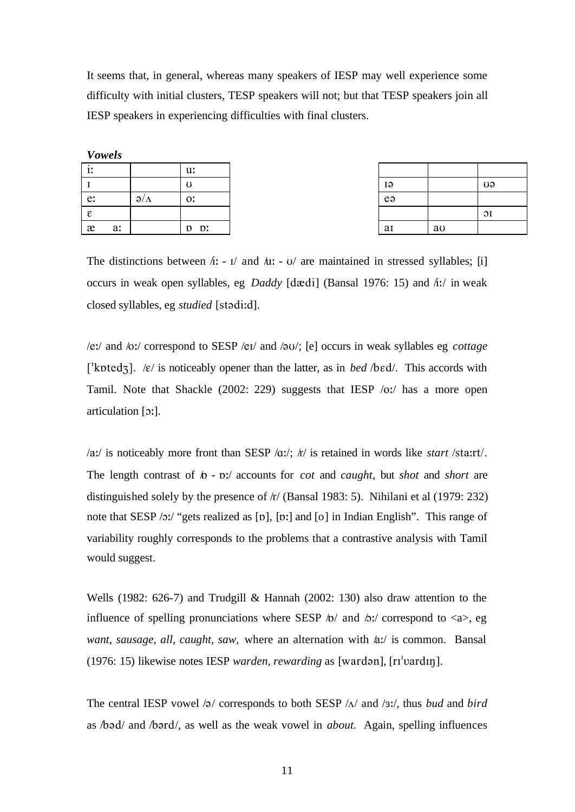It seems that, in general, whereas many speakers of IESP may well experience some difficulty with initial clusters, TESP speakers will not; but that TESP speakers join all IESP speakers in experiencing difficulties with final clusters.

|  | <b>Vowels</b> |
|--|---------------|
|--|---------------|

| -11           |    |                    | u:                    |    |    |  |
|---------------|----|--------------------|-----------------------|----|----|--|
|               |    |                    | U                     | 19 |    |  |
| e:            |    | $\partial/\Lambda$ | $0$ .                 | eə |    |  |
| $\varepsilon$ |    |                    |                       |    |    |  |
| æ             | a: |                    | $D$ :<br>$\mathbf{D}$ | ai | au |  |

| H        |    | UƏ              |
|----------|----|-----------------|
| eə       |    |                 |
|          |    | $\overline{O}I$ |
| <b>a</b> | au |                 |

The distinctions between  $\Lambda$ : - I/ and  $\Lambda$ : - U/ are maintained in stressed syllables; [i] occurs in weak open syllables, eg *Daddy* [dædi] (Bansal 1976: 15) and  $\Lambda$ :/ in weak closed syllables, eg *studied* [stadi:d].

/e:/ and /o:/ correspond to SESP /eI/ and /@U/; [e] occurs in weak syllables eg *cottage*  ['kptedz].  $\kappa$  is noticeably opener than the latter, as in *bed* /bed/. This accords with Tamil. Note that Shackle (2002: 229) suggests that IESP /o:/ has a more open articulation [O:].

/a:/ is noticeably more front than SESP /A:/; /r/ is retained in words like *start* /sta:rt/. The length contrast of  $\phi$  -  $\frac{dy}{dx}$  accounts for *cot* and *caught*, but *shot* and *short* are distinguished solely by the presence of  $/r/$  (Bansal 1983: 5). Nihilani et al (1979: 232) note that SESP  $/2$ : "gets realized as [p], [p:] and [o] in Indian English". This range of variability roughly corresponds to the problems that a contrastive analysis with Tamil would suggest.

Wells (1982: 626-7) and Trudgill & Hannah (2002: 130) also draw attention to the influence of spelling pronunciations where SESP  $\phi$  and  $\phi$ : correspond to <a>, eg *want, sausage, all, caught, saw, where an alternation with*  $a$ *:/ is common. Bansal* (1976: 15) likewise notes IESP *warden, rewarding* as [wardon], [rI<sup>1</sup>vardIn].

The central IESP vowel  $\sqrt{\frac{g}{c}}$  corresponds to both SESP  $\sqrt{\sqrt{a}}$  and  $\sqrt{a}$ ; thus *bud* and *bird* as /b@d/ and /b@rd/, as well as the weak vowel in *about.* Again, spelling influences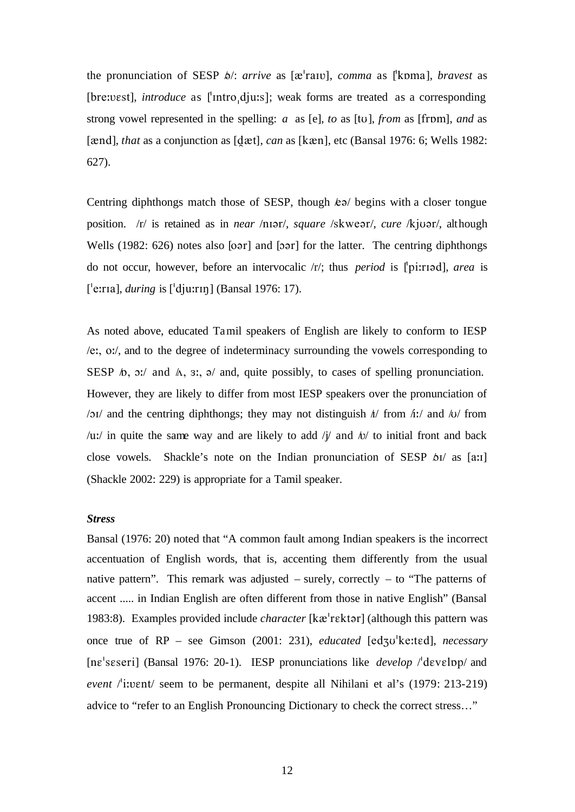the pronunciation of SESP  $\phi$ : *arrive* as [ $\alpha$ <sup>-</sup>raIV], *comma* as [<sup>'</sup>kpma], *bravest* as [bre:vest], *introduce* as ['Intro<sub>'</sub>dju:s]; weak forms are treated as a corresponding strong vowel represented in the spelling: *a* as [e], *to* as [tu], *from* as [from], *and* as [ $\alpha$ nd], *that* as a conjunction as [ $\alpha$ ], *can* as [k $\alpha$ n], etc (Bansal 1976: 6; Wells 1982: 627).

Centring diphthongs match those of SESP, though  $k\vartheta$  begins with a closer tongue position. /r/ is retained as in *near* /nIar/, *square* /skwear/, *cure* /kjuar/, although Wells (1982:  $626$ ) notes also  $[0.02]$  and  $[0.02]$  for the latter. The centring diphthongs do not occur, however, before an intervocalic /r/; thus *period* is ["pi:riad], *area* is ["e:rIa], *during* is ["dju:rIN] (Bansal 1976: 17).

As noted above, educated Tamil speakers of English are likely to conform to IESP /e:, o:/, and to the degree of indeterminacy surrounding the vowels corresponding to SESP  $\phi$ ,  $\phi$ :/ and  $\phi$ ,  $\phi$ :,  $\phi$ / and, quite possibly, to cases of spelling pronunciation. However, they are likely to differ from most IESP speakers over the pronunciation of /oI/ and the centring diphthongs; they may not distinguish  $\hbar$  from  $\hbar$ :/ and  $\hbar$ / $\sigma$  from /u:/ in quite the same way and are likely to add /j/ and  $\omega$ / to initial front and back close vowels. Shackle's note on the Indian pronunciation of SESP  $\delta I$  as [a:1] (Shackle 2002: 229) is appropriate for a Tamil speaker.

### *Stress*

Bansal (1976: 20) noted that "A common fault among Indian speakers is the incorrect accentuation of English words, that is, accenting them differently from the usual native pattern". This remark was adjusted  $-$  surely, correctly  $-$  to "The patterns of accent ..... in Indian English are often different from those in native English" (Bansal 1983:8). Examples provided include *character* [kæ<sup>l</sup>rektər] (although this pattern was once true of RP – see Gimson (2001: 231), *educated* [edzu<sup>1</sup>ke:ted], *necessary* [ne<sup>'</sup>seseri] (Bansal 1976: 20-1). IESP pronunciations like *develop* /<sup>*'develop*/ and</sup> *event* /'i:vent/ seem to be permanent, despite all Nihilani et al's (1979: 213-219) advice to "refer to an English Pronouncing Dictionary to check the correct stress…"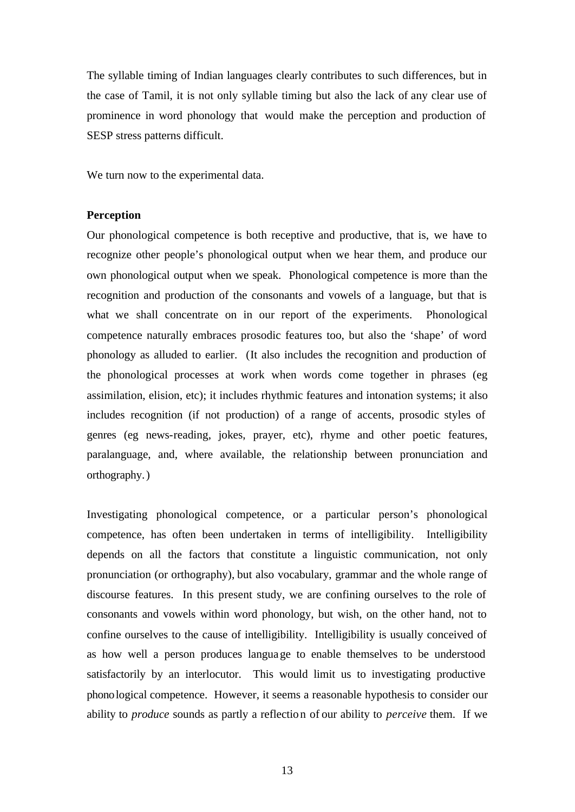The syllable timing of Indian languages clearly contributes to such differences, but in the case of Tamil, it is not only syllable timing but also the lack of any clear use of prominence in word phonology that would make the perception and production of SESP stress patterns difficult.

We turn now to the experimental data.

### **Perception**

Our phonological competence is both receptive and productive, that is, we have to recognize other people's phonological output when we hear them, and produce our own phonological output when we speak. Phonological competence is more than the recognition and production of the consonants and vowels of a language, but that is what we shall concentrate on in our report of the experiments. Phonological competence naturally embraces prosodic features too, but also the 'shape' of word phonology as alluded to earlier. (It also includes the recognition and production of the phonological processes at work when words come together in phrases (eg assimilation, elision, etc); it includes rhythmic features and intonation systems; it also includes recognition (if not production) of a range of accents, prosodic styles of genres (eg news-reading, jokes, prayer, etc), rhyme and other poetic features, paralanguage, and, where available, the relationship between pronunciation and orthography.)

Investigating phonological competence, or a particular person's phonological competence, has often been undertaken in terms of intelligibility. Intelligibility depends on all the factors that constitute a linguistic communication, not only pronunciation (or orthography), but also vocabulary, grammar and the whole range of discourse features. In this present study, we are confining ourselves to the role of consonants and vowels within word phonology, but wish, on the other hand, not to confine ourselves to the cause of intelligibility. Intelligibility is usually conceived of as how well a person produces language to enable themselves to be understood satisfactorily by an interlocutor. This would limit us to investigating productive phonological competence. However, it seems a reasonable hypothesis to consider our ability to *produce* sounds as partly a reflection of our ability to *perceive* them. If we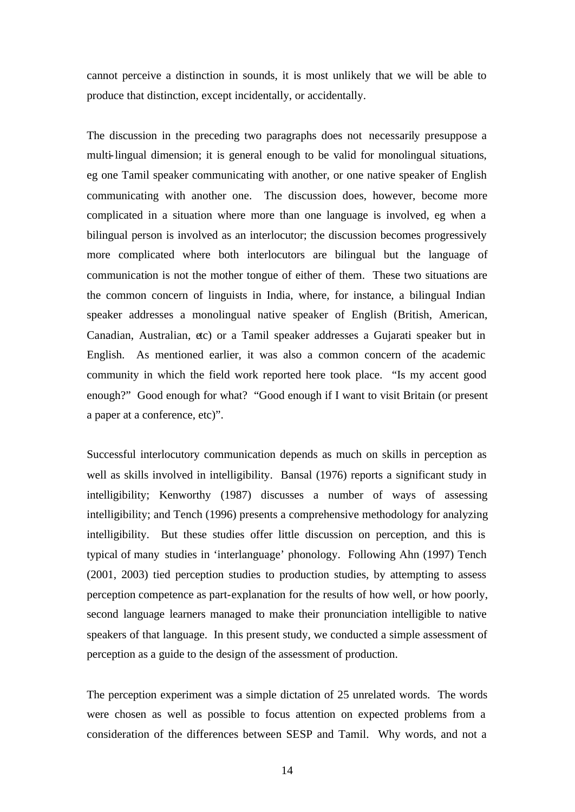cannot perceive a distinction in sounds, it is most unlikely that we will be able to produce that distinction, except incidentally, or accidentally.

The discussion in the preceding two paragraphs does not necessarily presuppose a multi-lingual dimension; it is general enough to be valid for monolingual situations, eg one Tamil speaker communicating with another, or one native speaker of English communicating with another one. The discussion does, however, become more complicated in a situation where more than one language is involved, eg when a bilingual person is involved as an interlocutor; the discussion becomes progressively more complicated where both interlocutors are bilingual but the language of communication is not the mother tongue of either of them. These two situations are the common concern of linguists in India, where, for instance, a bilingual Indian speaker addresses a monolingual native speaker of English (British, American, Canadian, Australian, etc) or a Tamil speaker addresses a Gujarati speaker but in English. As mentioned earlier, it was also a common concern of the academic community in which the field work reported here took place. "Is my accent good enough?" Good enough for what? "Good enough if I want to visit Britain (or present a paper at a conference, etc)".

Successful interlocutory communication depends as much on skills in perception as well as skills involved in intelligibility. Bansal (1976) reports a significant study in intelligibility; Kenworthy (1987) discusses a number of ways of assessing intelligibility; and Tench (1996) presents a comprehensive methodology for analyzing intelligibility. But these studies offer little discussion on perception, and this is typical of many studies in 'interlanguage' phonology. Following Ahn (1997) Tench (2001, 2003) tied perception studies to production studies, by attempting to assess perception competence as part-explanation for the results of how well, or how poorly, second language learners managed to make their pronunciation intelligible to native speakers of that language. In this present study, we conducted a simple assessment of perception as a guide to the design of the assessment of production.

The perception experiment was a simple dictation of 25 unrelated words. The words were chosen as well as possible to focus attention on expected problems from a consideration of the differences between SESP and Tamil. Why words, and not a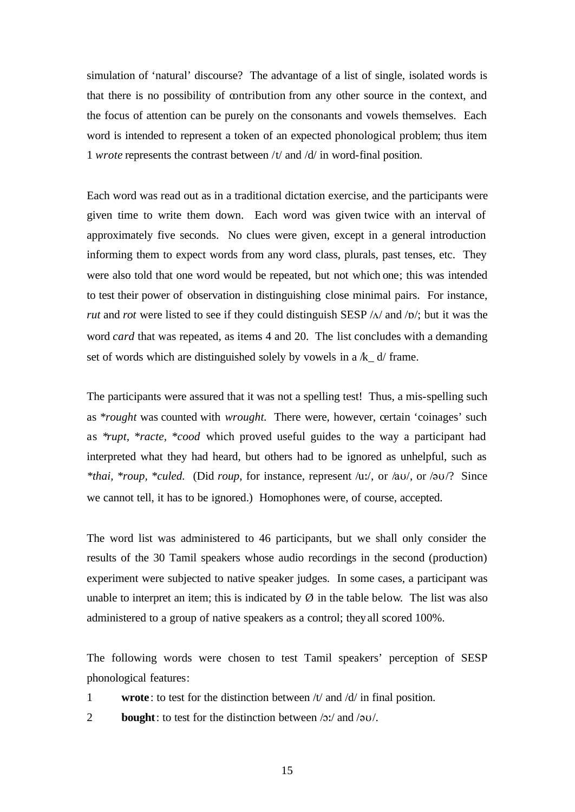simulation of 'natural' discourse? The advantage of a list of single, isolated words is that there is no possibility of contribution from any other source in the context, and the focus of attention can be purely on the consonants and vowels themselves. Each word is intended to represent a token of an expected phonological problem; thus item 1 *wrote* represents the contrast between /t/ and /d/ in word-final position.

Each word was read out as in a traditional dictation exercise, and the participants were given time to write them down. Each word was given twice with an interval of approximately five seconds. No clues were given, except in a general introduction informing them to expect words from any word class, plurals, past tenses, etc. They were also told that one word would be repeated, but not which one; this was intended to test their power of observation in distinguishing close minimal pairs. For instance, *rut* and *rot* were listed to see if they could distinguish SESP  $\Lambda$  and  $\Delta$ ; but it was the word *card* that was repeated, as items 4 and 20. The list concludes with a demanding set of words which are distinguished solely by vowels in a  $/k$  d/ frame.

The participants were assured that it was not a spelling test! Thus, a mis-spelling such as \**rought* was counted with *wrought.* There were, however, certain 'coinages' such as \**rupt, \*racte, \*cood* which proved useful guides to the way a participant had interpreted what they had heard, but others had to be ignored as unhelpful, such as *\*thai, \*roup, \*culed.* (Did *roup*, for instance, represent /u:/, or /aU/, or /@U/? Since we cannot tell, it has to be ignored.) Homophones were, of course, accepted.

The word list was administered to 46 participants, but we shall only consider the results of the 30 Tamil speakers whose audio recordings in the second (production) experiment were subjected to native speaker judges. In some cases, a participant was unable to interpret an item; this is indicated by  $\emptyset$  in the table below. The list was also administered to a group of native speakers as a control; they all scored 100%.

The following words were chosen to test Tamil speakers' perception of SESP phonological features:

- 1 **wrote**: to test for the distinction between /t/ and /d/ in final position.
- 2 **bought**: to test for the distinction between  $\sqrt{2}$ ; and  $\sqrt{2}$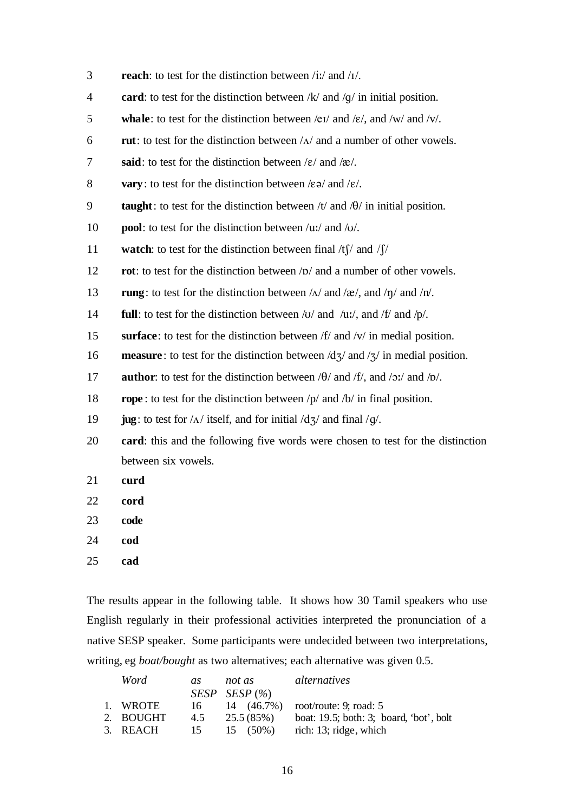| 3  | <b>reach</b> : to test for the distinction between /iː/ and /i/.                                                              |
|----|-------------------------------------------------------------------------------------------------------------------------------|
| 4  | card: to test for the distinction between $/k/$ and $/q/$ in initial position.                                                |
| 5  | <b>whale</b> : to test for the distinction between /e1/ and /e/, and /w/ and /v/.                                             |
| 6  | <b>rut</b> : to test for the distinction between $/\Lambda$ and a number of other vowels.                                     |
| 7  | said: to test for the distinction between $/\varepsilon$ and $/\varepsilon$ .                                                 |
| 8  | <b>vary</b> : to test for the distinction between $\ell \in \mathcal{A}$ and $\ell \in \ell$ .                                |
| 9  | taught: to test for the distinction between $/t$ and $/t$ in initial position.                                                |
| 10 | <b>pool</b> : to test for the distinction between $/u$ ; and $/v$ .                                                           |
| 11 | <b>watch:</b> to test for the distinction between final $/f /$ and $/f /$                                                     |
| 12 | rot: to test for the distinction between /p/ and a number of other vowels.                                                    |
| 13 | <b>rung</b> : to test for the distinction between $/\Lambda$ and $/\mathbf{R}$ , and $/\eta$ and $/\eta$ .                    |
| 14 | <b>full</b> : to test for the distinction between $\overline{v}$ and $\overline{u}$ , and $\overline{f}$ and $\overline{p}$ . |
| 15 | surface: to test for the distinction between $f/\sqrt{t}$ and $/\sqrt{v}$ in medial position.                                 |
| 16 | <b>measure</b> : to test for the distinction between $\frac{d}{3}$ and $\frac{7}{3}$ in medial position.                      |
| 17 | <b>author</b> : to test for the distinction between $\theta$ and $\pi$ , and $\theta$ ; and $\theta$ .                        |
| 18 | <b>rope</b> : to test for the distinction between $/p$ and $/b$ in final position.                                            |
| 19 | jug: to test for $/\Delta$ / itself, and for initial $/dz$ and final /g/.                                                     |
| 20 | card: this and the following five words were chosen to test for the distinction                                               |
|    | between six vowels.                                                                                                           |
| 21 | curd                                                                                                                          |
| 22 | cord                                                                                                                          |
| 23 | code                                                                                                                          |
| 24 | cod                                                                                                                           |
| 25 | cad                                                                                                                           |

The results appear in the following table. It shows how 30 Tamil speakers who use English regularly in their professional activities interpreted the pronunciation of a native SESP speaker. Some participants were undecided between two interpretations, writing, eg *boat/bought* as two alternatives; each alternative was given 0.5.

| Word      | as  | not as            | <i>alternatives</i>                           |
|-----------|-----|-------------------|-----------------------------------------------|
|           |     | SESP SESP $(\%)$  |                                               |
| 1. WROTE  | 16. |                   | 14 (46.7%) root/route: 9; road: 5             |
| 2. BOUGHT |     | $4.5$ $25.5(85%)$ | boat: $19.5$ ; both: $3$ ; board, 'bot', bolt |
| 3. REACH  | 15  | $15(50\%)$        | rich: 13; ridge, which                        |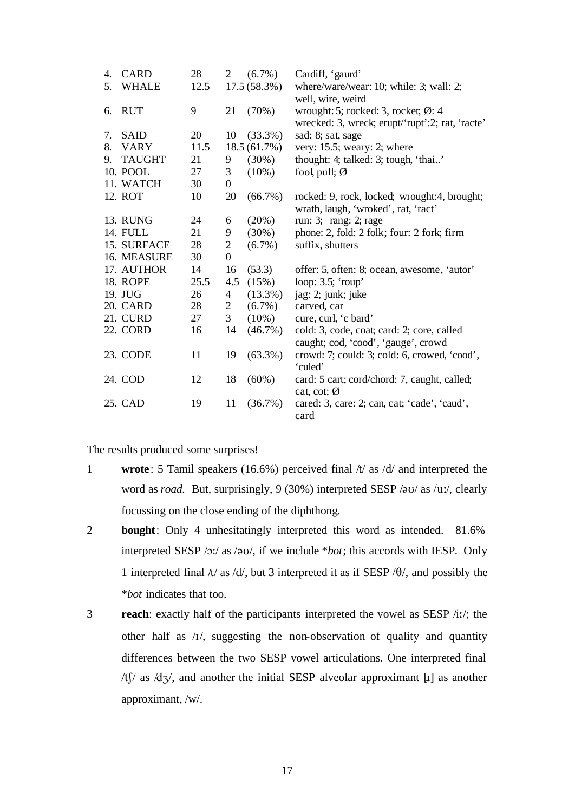| 4. | <b>CARD</b>     | 28   | 2                | $(6.7\%)$   | Cardiff, 'gaurd'                                |
|----|-----------------|------|------------------|-------------|-------------------------------------------------|
| 5. | <b>WHALE</b>    | 12.5 |                  | 17.5(58.3%) | where/ware/wear: 10; while: 3; wall: 2;         |
|    |                 |      |                  |             | well, wire, weird                               |
| 6. | <b>RUT</b>      | 9    | 21               | (70%)       | wrought: 5; rocked: 3, rocket; $\emptyset$ : 4  |
|    |                 |      |                  |             | wrecked: 3, wreck; erupt/'rupt':2; rat, 'racte' |
| 7. | <b>SAID</b>     | 20   | 10               | (33.3%)     | sad: 8; sat, sage                               |
| 8. | <b>VARY</b>     | 11.5 |                  | 18.5(61.7%) | very: 15.5; weary: 2; where                     |
| 9. | <b>TAUGHT</b>   | 21   | 9                | $(30\%)$    | thought: 4; talked: 3; tough, 'thai'            |
|    | 10. POOL        | 27   | 3                | $(10\%)$    | fool, pull; $Ø$                                 |
|    | 11. WATCH       | 30   | $\boldsymbol{0}$ |             |                                                 |
|    | 12. ROT         | 10   | 20               | (66.7%)     | rocked: 9, rock, locked; wrought:4, brought;    |
|    |                 |      |                  |             | wrath, laugh, 'wroked', rat, 'ract'             |
|    | 13. RUNG        | 24   | 6                | (20%)       | run: 3; rang: 2; rage                           |
|    | 14. FULL        | 21   | 9                | $(30\%)$    | phone: 2, fold: 2 folk; four: 2 fork; firm      |
|    | 15. SURFACE     | 28   | $\overline{2}$   | $(6.7\%)$   | suffix, shutters                                |
|    | 16. MEASURE     | 30   | $\boldsymbol{0}$ |             |                                                 |
|    | 17. AUTHOR      | 14   | 16               | (53.3)      | offer: 5, often: 8; ocean, awesome, 'autor'     |
|    | <b>18. ROPE</b> | 25.5 | 4.5              | (15%)       | loop: $3.5$ ; 'roup'                            |
|    | 19. JUG         | 26   | 4                | $(13.3\%)$  | jag: 2; junk; juke                              |
|    | 20. CARD        | 28   | 2                | $(6.7\%)$   | carved, car                                     |
|    | 21. CURD        | 27   | 3                | $(10\%)$    | cure, curl, 'c bard'                            |
|    | 22. CORD        | 16   | 14               | (46.7%)     | cold: 3, code, coat; card: 2; core, called      |
|    |                 |      |                  |             | caught; cod, 'cood', 'gauge', crowd             |
|    | 23. CODE        | 11   | 19               | $(63.3\%)$  | crowd: 7; could: 3; cold: 6, crowed, 'cood',    |
|    |                 |      |                  |             | 'culed'                                         |
|    | 24. COD         | 12   | 18               | $(60\%)$    | card: 5 cart; cord/chord: 7, caught, called;    |
|    |                 |      |                  |             | cat, cot; $\emptyset$                           |
|    | 25. CAD         | 19   | 11               | (36.7%)     | cared: 3, care: 2; can, cat; 'cade', 'caud',    |
|    |                 |      |                  |             | card                                            |

The results produced some surprises!

- 1 **wrote**: 5 Tamil speakers (16.6%) perceived final  $\pi$  as  $\frac{d}{d}$  and interpreted the word as *road*. But, surprisingly, 9 (30%) interpreted SESP / $\sigma$ U/ as /uː/, clearly focussing on the close ending of the diphthong.
- 2 **bought**: Only 4 unhesitatingly interpreted this word as intended. 81.6% interpreted SESP /O:/ as /@U/, if we include \**bot*; this accords with IESP*.* Only 1 interpreted final  $\frac{\hbar}{a}$  /d/, but 3 interpreted it as if SESP / $\theta$ /, and possibly the \**bot* indicates that too.
- 3 **reach**: exactly half of the participants interpreted the vowel as SESP /i:/; the other half as /I/, suggesting the non-observation of quality and quantity differences between the two SESP vowel articulations. One interpreted final  $/t$  s  $\frac{d}{3}$ , and another the initial SESP alveolar approximant [1] as another approximant, /w/.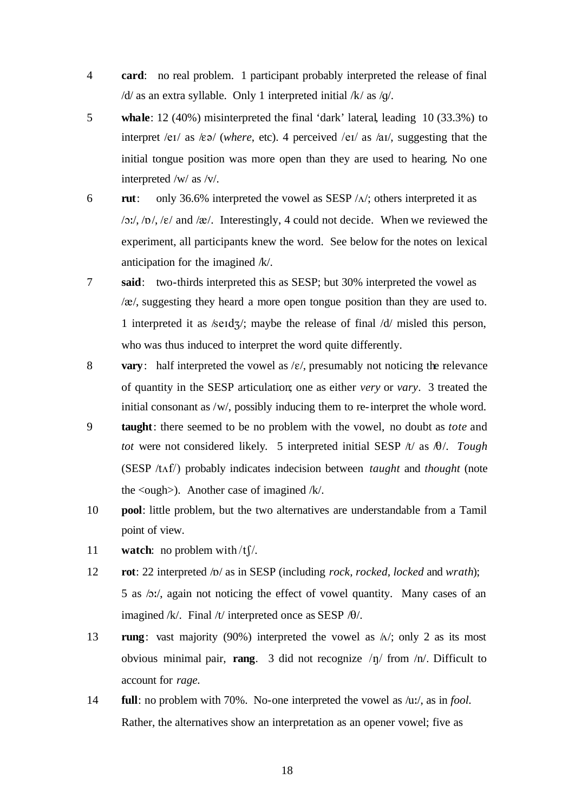- 4 **card**: no real problem. 1 participant probably interpreted the release of final /d/ as an extra syllable. Only 1 interpreted initial /k/ as /g/.
- 5 **whale**: 12 (40%) misinterpreted the final 'dark' lateral, leading 10 (33.3%) to interpret /eI/ as /E@/ (*where*, etc). 4 perceived /eI/ as /aI/, suggesting that the initial tongue position was more open than they are used to hearing. No one interpreted /w/ as /v/.
- 6 **rut**: only 36.6% interpreted the vowel as SESP  $/\Lambda$ ; others interpreted it as  $/Q$ :/,  $/Q$ ,  $/(\varepsilon)$  and  $/Q$ . Interestingly, 4 could not decide. When we reviewed the experiment, all participants knew the word. See below for the notes on lexical anticipation for the imagined /k/.
- 7 **said**: two-thirds interpreted this as SESP; but 30% interpreted the vowel as  $\alpha$ , suggesting they heard a more open tongue position than they are used to. 1 interpreted it as /seId $\frac{1}{2}$ /; maybe the release of final /d/ misled this person, who was thus induced to interpret the word quite differently.
- 8 **vary**: half interpreted the vowel as  $\mathcal{E}$ , presumably not noticing the relevance of quantity in the SESP articulation; one as either *very* or *vary*. 3 treated the initial consonant as /w/, possibly inducing them to re-interpret the whole word.
- 9 **taught**: there seemed to be no problem with the vowel, no doubt as *tote* and *tot* were not considered likely. 5 interpreted initial SESP  $/t /$  as  $\theta$ . *Tough* (SESP  $/t \Lambda f$ ) probably indicates indecision between *taught* and *thought* (note the  $\langle \text{ough}\rangle$ . Another case of imagined /k/.
- 10 **pool**: little problem, but the two alternatives are understandable from a Tamil point of view.
- 11 **watch**: no problem with  $/t \frac{f}{f}$ .
- 12 **rot**: 22 interpreted /p/ as in SESP (including *rock, rocked, locked* and *wrath*); 5 as /O:/, again not noticing the effect of vowel quantity. Many cases of an imagined  $/k$ . Final  $/t$  interpreted once as SESP  $/\theta$ .
- 13 **rung**: vast majority (90%) interpreted the vowel as  $\Delta/$ ; only 2 as its most obvious minimal pair, **rang**. 3 did not recognize  $/\eta$  from  $/\eta$ . Difficult to account for *rage.*
- 14 **full**: no problem with 70%. No-one interpreted the vowel as /u:/, as in *fool.* Rather, the alternatives show an interpretation as an opener vowel; five as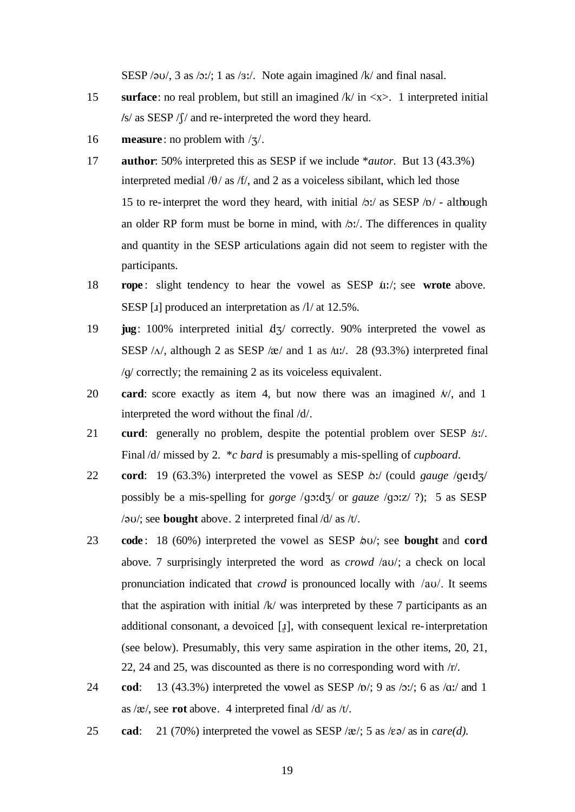SESP / $\partial U$ , 3 as / $\partial U$ ; 1 as / $\partial U$ . Note again imagined /k/ and final nasal.

- 15 **surface**: no real problem, but still an imagined /k/ in <x>. 1 interpreted initial **/**s/ as SESP /S/ and re-interpreted the word they heard.
- 16 **measure**: no problem with  $\frac{1}{3}$ .
- 17 **author**: 50% interpreted this as SESP if we include \**autor.* But 13 (43.3%) interpreted medial  $/\theta$  as /f/, and 2 as a voiceless sibilant, which led those 15 to re-interpret the word they heard, with initial  $\Delta x /$  as SESP  $\Delta b /$  - although an older RP form must be borne in mind, with  $\Delta$ :/. The differences in quality and quantity in the SESP articulations again did not seem to register with the participants.
- 18 **rope** : slight tendency to hear the vowel as SESP /u:/; see **wrote** above. SESP [ $I$ ] produced an interpretation as  $/1/$  at 12.5%.
- 19 **jug**: 100% interpreted initial  $d\vec{\lambda}$  correctly. 90% interpreted the vowel as SESP  $/\Lambda$ , although 2 as SESP / $\alpha$ / and 1 as /u:/. 28 (93.3%) interpreted final /g/ correctly; the remaining 2 as its voiceless equivalent.
- 20 **card**: score exactly as item 4, but now there was an imagined  $\pi$ , and 1 interpreted the word without the final /d/.
- 21 **curd**: generally no problem, despite the potential problem over SESP  $\frac{\partial z}{\partial x}$ . Final /d/ missed by 2. \**c bard* is presumably a mis-spelling of *cupboard*.
- 22 **cord**: 19 (63.3%) interpreted the vowel as SESP  $\delta$ :/ (could *gauge* /geid $\frac{1}{2}$ / possibly be a mis-spelling for *gorge*  $\sqrt{q}$ o:dz $\sqrt{q}$  or *gauze*  $\sqrt{q}$ o:z/ ?); 5 as SESP /@U/; see **bought** above. 2 interpreted final /d/ as /t/.
- 23 **code**: 18 (60%) interpreted the vowel as SESP  $\phi$ U/; see **bought** and **cord** above. 7 surprisingly interpreted the word as *crowd* /aU/; a check on local pronunciation indicated that *crowd* is pronounced locally with /au/. It seems that the aspiration with initial  $/k$  was interpreted by these 7 participants as an additional consonant, a devoiced  $\lceil \frac{1}{k} \rceil$ , with consequent lexical re-interpretation (see below). Presumably, this very same aspiration in the other items, 20, 21, 22, 24 and 25, was discounted as there is no corresponding word with /r/.
- 24 **cod**: 13 (43.3%) interpreted the vowel as SESP  $\langle \textbf{D}' \rangle$ ; 9 as  $\langle \textbf{D}' \rangle$ ; 6 as  $\langle \textbf{q} \rangle$  and 1 as  $/\mathbf{\hat{x}}$ , see **rot** above. 4 interpreted final  $/d /$  as  $/t$ .
- 25 **cad**: 21 (70%) interpreted the vowel as SESP / $\alpha$ /; 5 as / $\epsilon \approx 0$  as in *care(d)*.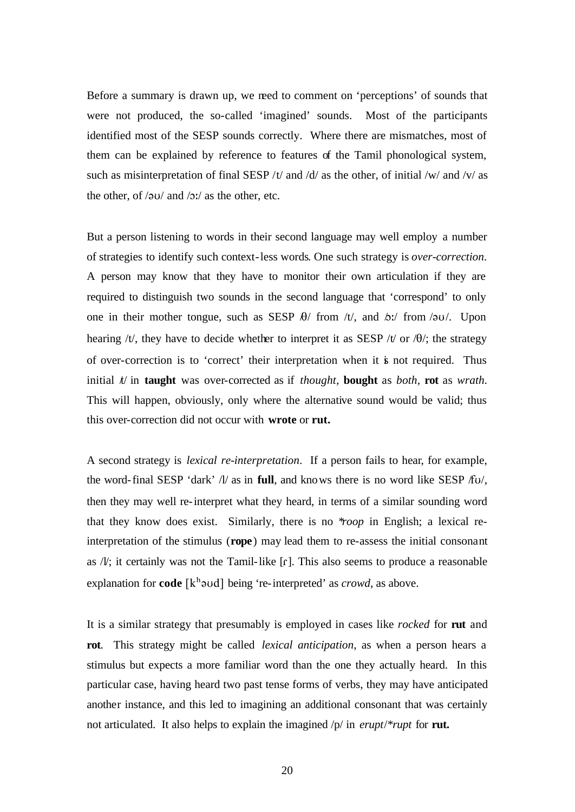Before a summary is drawn up, we need to comment on 'perceptions' of sounds that were not produced, the so-called 'imagined' sounds. Most of the participants identified most of the SESP sounds correctly. Where there are mismatches, most of them can be explained by reference to features of the Tamil phonological system, such as misinterpretation of final SESP /t/ and /d/ as the other, of initial /w/ and /v/ as the other, of  $\sqrt{2U}$  and  $\sqrt{2}$  as the other, etc.

But a person listening to words in their second language may well employ a number of strategies to identify such context-less words. One such strategy is *over-correction*. A person may know that they have to monitor their own articulation if they are required to distinguish two sounds in the second language that 'correspond' to only one in their mother tongue, such as SESP  $\theta$ / from /t/, and  $\theta$ :/ from / $\theta$ U/. Upon hearing /t/, they have to decide whether to interpret it as SESP /t/ or / $\theta$ /; the strategy of over-correction is to 'correct' their interpretation when it is not required. Thus initial  $t/d$  in **taught** was over-corrected as if *thought*, **bought** as *both*, **rot** as *wrath*. This will happen, obviously, only where the alternative sound would be valid; thus this over-correction did not occur with **wrote** or **rut.**

A second strategy is *lexical re-interpretation*. If a person fails to hear, for example, the word-final SESP 'dark' /l/ as in **full**, and knows there is no word like SESP /fu/, then they may well re-interpret what they heard, in terms of a similar sounding word that they know does exist. Similarly, there is no \**roop* in English; a lexical reinterpretation of the stimulus (**rope**) may lead them to re-assess the initial consonant as  $/V$ ; it certainly was not the Tamil-like  $[r]$ . This also seems to produce a reasonable explanation for **code**  $[k^h$ <sup>2</sup>vd] being 're-interpreted' as *crowd*, as above.

It is a similar strategy that presumably is employed in cases like *rocked* for **rut** and **rot**. This strategy might be called *lexical anticipation*, as when a person hears a stimulus but expects a more familiar word than the one they actually heard. In this particular case, having heard two past tense forms of verbs, they may have anticipated another instance, and this led to imagining an additional consonant that was certainly not articulated. It also helps to explain the imagined /p/ in *erupt*/*\*rupt* for **rut.**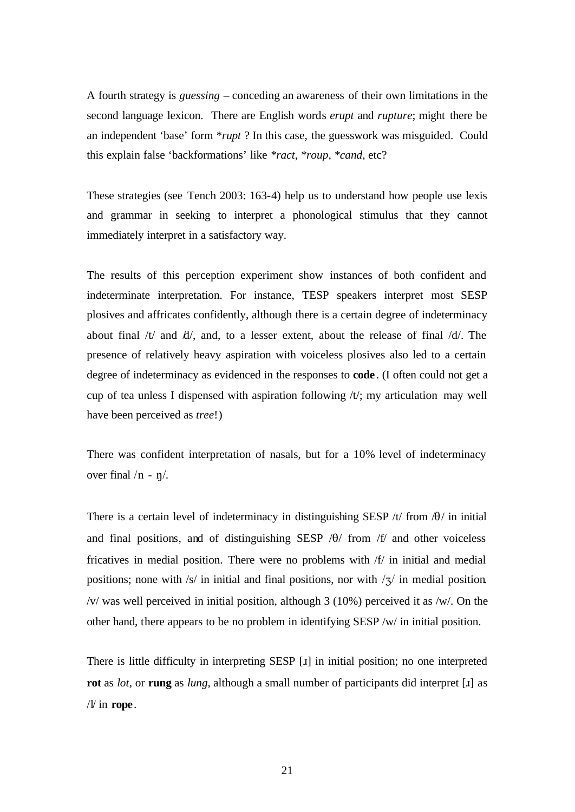A fourth strategy is *guessing* – conceding an awareness of their own limitations in the second language lexicon. There are English words *erupt* and *rupture*; might there be an independent 'base' form \**rupt* ? In this case, the guesswork was misguided. Could this explain false 'backformations' like *\*ract, \*roup, \*cand,* etc?

These strategies (see Tench 2003: 163-4) help us to understand how people use lexis and grammar in seeking to interpret a phonological stimulus that they cannot immediately interpret in a satisfactory way.

The results of this perception experiment show instances of both confident and indeterminate interpretation. For instance, TESP speakers interpret most SESP plosives and affricates confidently, although there is a certain degree of indeterminacy about final  $/t/$  and  $/t/$ , and, to a lesser extent, about the release of final  $/d/$ . The presence of relatively heavy aspiration with voiceless plosives also led to a certain degree of indeterminacy as evidenced in the responses to **code**. (I often could not get a cup of tea unless I dispensed with aspiration following /t/; my articulation may well have been perceived as *tree*!)

There was confident interpretation of nasals, but for a 10% level of indeterminacy over final  $/n - n$ .

There is a certain level of indeterminacy in distinguishing SESP /t/ from  $\theta$ / in initial and final positions, and of distinguishing SESP  $/\theta$  from  $/f$  and other voiceless fricatives in medial position. There were no problems with /f/ in initial and medial positions; none with /s/ in initial and final positions, nor with  $\frac{1}{3}$  in medial position. /v/ was well perceived in initial position, although 3 (10%) perceived it as /w/. On the other hand, there appears to be no problem in identifying SESP /w/ in initial position.

There is little difficulty in interpreting SESP [£] in initial position; no one interpreted **rot** as *lot*, or **rung** as *lung*, although a small number of participants did interpret [1] as /l/ in **rope**.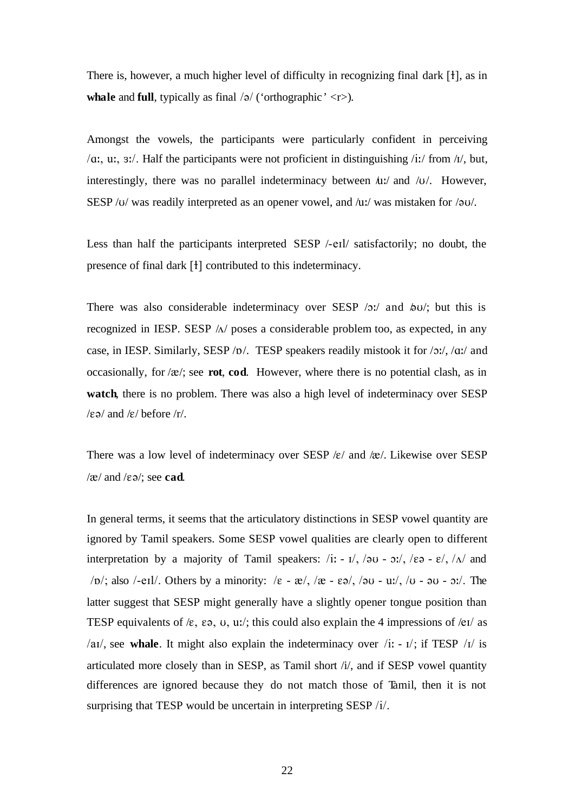There is, however, a much higher level of difficulty in recognizing final dark  $[1]$ , as in **whale** and **full**, typically as final  $\frac{\theta}{\sqrt{2}}$  ('orthographic' <r>).

Amongst the vowels, the participants were particularly confident in perceiving /a:, u:,  $3$ :/. Half the participants were not proficient in distinguishing /i:/ from /i/, but, interestingly, there was no parallel indeterminacy between  $\mu$ :/ and  $/\nu$ . However, SESP / $U$ / was readily interpreted as an opener vowel, and / $U$ / was mistaken for / $\partial U$ .

Less than half the participants interpreted SESP /-eIl/ satisfactorily; no doubt, the presence of final dark [1] contributed to this indeterminacy.

There was also considerable indeterminacy over SESP  $/2$ : and  $/2$ ; but this is recognized in IESP. SESP  $\Lambda$  poses a considerable problem too, as expected, in any case, in IESP. Similarly, SESP /p/. TESP speakers readily mistook it for  $/2$ :/,  $/2$ :/ and occasionally, for  $/\mathbf{x}$ ; see **rot**, **cod**. However, where there is no potential clash, as in **watch**, there is no problem. There was also a high level of indeterminacy over SESP  $/\epsilon \vartheta$  and  $/\epsilon$  before  $/r$ .

There was a low level of indeterminacy over SESP  $/\varepsilon$  and  $/\varepsilon$ . Likewise over SESP  $/\mathcal{E}$  and  $/\mathcal{E}$ <sup>2</sup>; see **cad**.

In general terms, it seems that the articulatory distinctions in SESP vowel quantity are ignored by Tamil speakers. Some SESP vowel qualities are clearly open to different interpretation by a majority of Tamil speakers:  $/i$ :  $-i$ ,  $/\partial u - \partial i$ ,  $/\partial e$   $-i$ ,  $/\Delta$  and /p/; also /-eil/. Others by a minority:  $/\varepsilon - \frac{\varepsilon}{3}$ ,  $/\varepsilon - \frac{\varepsilon}{3}$ ,  $/\partial$ U - u:/,  $/\partial$  -  $\partial$ U -  $\partial$ :/. The latter suggest that SESP might generally have a slightly opener tongue position than TESP equivalents of / $\varepsilon$ ,  $\varepsilon$ ,  $\sigma$ ,  $u$ ;  $u'$ ; this could also explain the 4 impressions of / $\varepsilon$ I/ as /a<sub>I</sub>/, see whale. It might also explain the indeterminacy over /i:  $-1$ ; if TESP / $1/$  is articulated more closely than in SESP, as Tamil short /i/, and if SESP vowel quantity differences are ignored because they do not match those of Tamil, then it is not surprising that TESP would be uncertain in interpreting SESP /i/.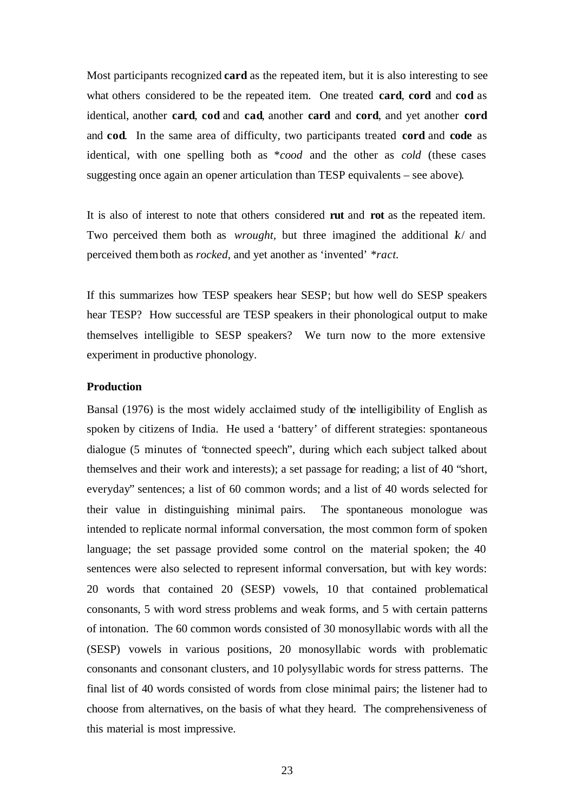Most participants recognized **card** as the repeated item, but it is also interesting to see what others considered to be the repeated item. One treated **card**, **cord** and **cod** as identical, another **card**, **cod** and **cad**, another **card** and **cord**, and yet another **cord**  and **cod**. In the same area of difficulty, two participants treated **cord** and **code** as identical, with one spelling both as \**cood* and the other as *cold* (these cases suggesting once again an opener articulation than TESP equivalents – see above)*.*

It is also of interest to note that others considered **rut** and **rot** as the repeated item. Two perceived them both as *wrought*, but three imagined the additional k/ and perceived them both as *rocked*, and yet another as 'invented' *\*ract.*

If this summarizes how TESP speakers hear SESP; but how well do SESP speakers hear TESP? How successful are TESP speakers in their phonological output to make themselves intelligible to SESP speakers? We turn now to the more extensive experiment in productive phonology.

### **Production**

Bansal (1976) is the most widely acclaimed study of the intelligibility of English as spoken by citizens of India. He used a 'battery' of different strategies: spontaneous dialogue (5 minutes of "connected speech", during which each subject talked about themselves and their work and interests); a set passage for reading; a list of 40 "short, everyday" sentences; a list of 60 common words; and a list of 40 words selected for their value in distinguishing minimal pairs. The spontaneous monologue was intended to replicate normal informal conversation, the most common form of spoken language; the set passage provided some control on the material spoken; the 40 sentences were also selected to represent informal conversation, but with key words: 20 words that contained 20 (SESP) vowels, 10 that contained problematical consonants, 5 with word stress problems and weak forms, and 5 with certain patterns of intonation. The 60 common words consisted of 30 monosyllabic words with all the (SESP) vowels in various positions, 20 monosyllabic words with problematic consonants and consonant clusters, and 10 polysyllabic words for stress patterns. The final list of 40 words consisted of words from close minimal pairs; the listener had to choose from alternatives, on the basis of what they heard. The comprehensiveness of this material is most impressive.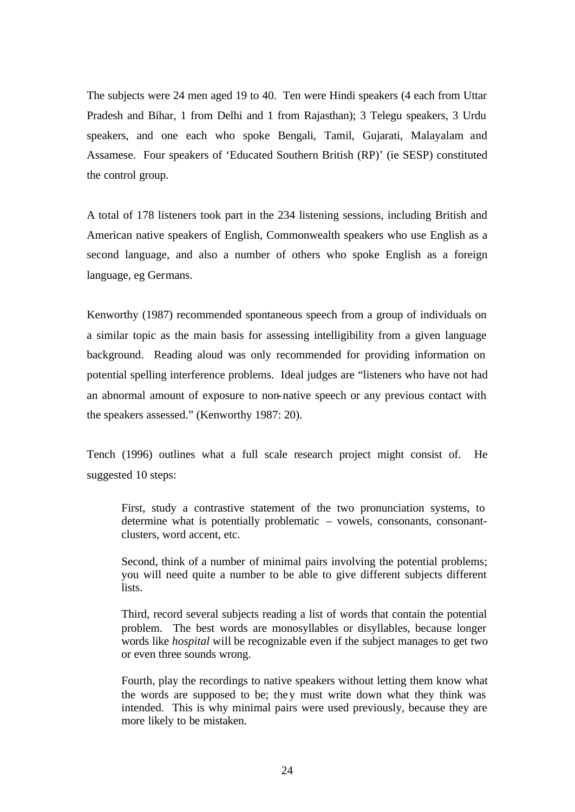The subjects were 24 men aged 19 to 40. Ten were Hindi speakers (4 each from Uttar Pradesh and Bihar, 1 from Delhi and 1 from Rajasthan); 3 Telegu speakers, 3 Urdu speakers, and one each who spoke Bengali, Tamil, Gujarati, Malayalam and Assamese. Four speakers of 'Educated Southern British (RP)' (ie SESP) constituted the control group.

A total of 178 listeners took part in the 234 listening sessions, including British and American native speakers of English, Commonwealth speakers who use English as a second language, and also a number of others who spoke English as a foreign language, eg Germans.

Kenworthy (1987) recommended spontaneous speech from a group of individuals on a similar topic as the main basis for assessing intelligibility from a given language background. Reading aloud was only recommended for providing information on potential spelling interference problems. Ideal judges are "listeners who have not had an abnormal amount of exposure to non-native speech or any previous contact with the speakers assessed." (Kenworthy 1987: 20).

Tench (1996) outlines what a full scale research project might consist of. He suggested 10 steps:

First, study a contrastive statement of the two pronunciation systems, to determine what is potentially problematic – vowels, consonants, consonantclusters, word accent, etc.

Second, think of a number of minimal pairs involving the potential problems; you will need quite a number to be able to give different subjects different lists.

Third, record several subjects reading a list of words that contain the potential problem. The best words are monosyllables or disyllables, because longer words like *hospital* will be recognizable even if the subject manages to get two or even three sounds wrong.

Fourth, play the recordings to native speakers without letting them know what the words are supposed to be; they must write down what they think was intended. This is why minimal pairs were used previously, because they are more likely to be mistaken.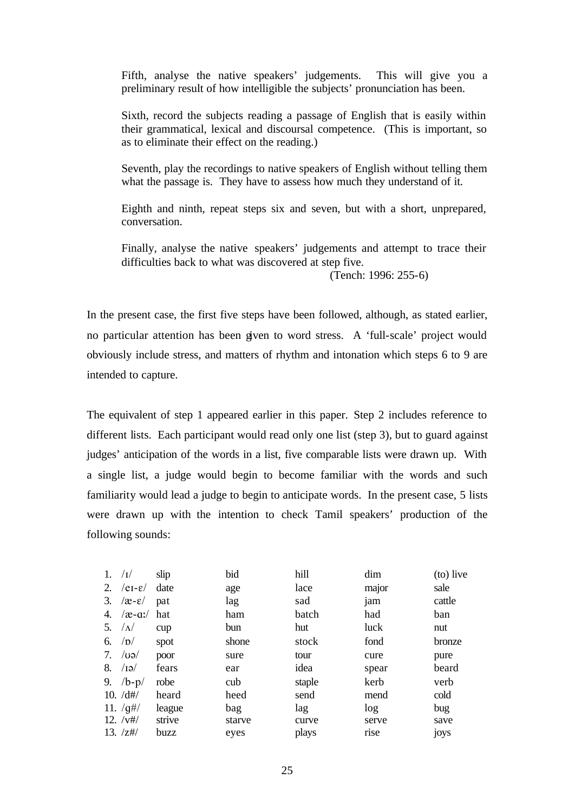Fifth, analyse the native speakers' judgements. This will give you a preliminary result of how intelligible the subjects' pronunciation has been.

Sixth, record the subjects reading a passage of English that is easily within their grammatical, lexical and discoursal competence. (This is important, so as to eliminate their effect on the reading.)

Seventh, play the recordings to native speakers of English without telling them what the passage is. They have to assess how much they understand of it.

Eighth and ninth, repeat steps six and seven, but with a short, unprepared, conversation.

Finally, analyse the native speakers' judgements and attempt to trace their difficulties back to what was discovered at step five.

(Tench: 1996: 255-6)

In the present case, the first five steps have been followed, although, as stated earlier, no particular attention has been given to word stress. A 'full-scale' project would obviously include stress, and matters of rhythm and intonation which steps 6 to 9 are intended to capture.

The equivalent of step 1 appeared earlier in this paper. Step 2 includes reference to different lists. Each participant would read only one list (step 3), but to guard against judges' anticipation of the words in a list, five comparable lists were drawn up. With a single list, a judge would begin to become familiar with the words and such familiarity would lead a judge to begin to anticipate words. In the present case, 5 lists were drawn up with the intention to check Tamil speakers' production of the following sounds:

| 1. | /1/                        | slip   | bid    | hill   | dim   | (to) live |
|----|----------------------------|--------|--------|--------|-------|-----------|
| 2. | $/eI-E/$                   | date   | age    | lace   | major | sale      |
| 3. | $\alpha$ - $\varepsilon$ / | pat    | lag    | sad    | jam   | cattle    |
| 4. | $\alpha$ -a:/              | hat    | ham    | batch  | had   | ban       |
| 5. | $/\Lambda$                 | cup    | bun    | hut    | luck  | nut       |
| 6. | /D/                        | spot   | shone  | stock  | fond  | bronze    |
| 7. | $\log$                     | poor   | sure   | tour   | cure  | pure      |
| 8. | $\sqrt{19}$                | fears  | ear    | idea   | spear | beard     |
| 9. | $/b-p/$                    | robe   | cub    | staple | kerb  | verb      |
|    | 10. /d#/                   | heard  | heed   | send   | mend  | cold      |
|    | 11. $\frac{q}{q}$          | league | bag    | lag    | log   | bug       |
|    | $12. /v\#/$                | strive | starve | curve  | serve | save      |
|    | 13. $\frac{z\#}{z}$        | buzz   | eyes   | plays  | rise  | joys      |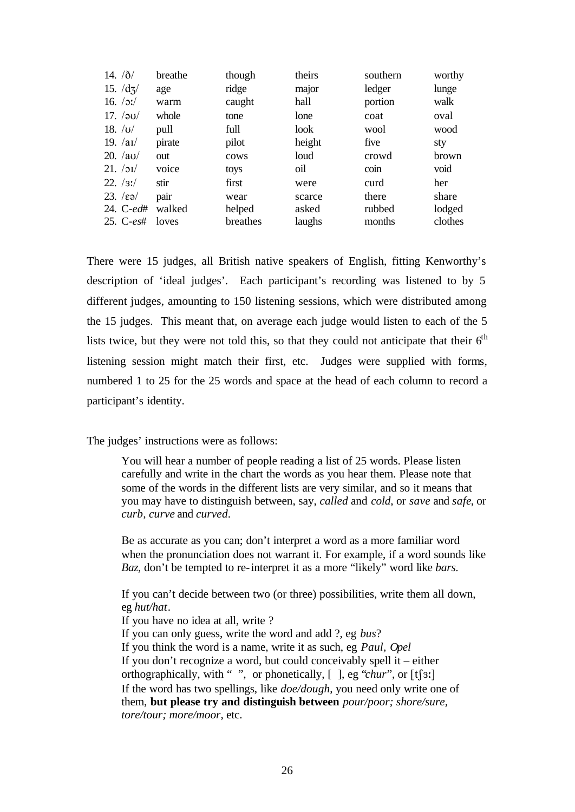| 14. $/ \delta/$          | breathe | though   | theirs | southern | worthy  |
|--------------------------|---------|----------|--------|----------|---------|
| 15. $\frac{d}{3}$        | age     | ridge    | major  | ledger   | lunge   |
| 16. $/2$ :/              | warm    | caught   | hall   | portion  | walk    |
| 17. $\sqrt{20}$          | whole   | tone     | lone   | coat     | oval    |
| 18. $ U $                | pull    | full     | look   | wool     | wood    |
| 19. $/aI/$               | pirate  | pilot    | height | five     | sty     |
| $20. /a$ u/              | out     | cows     | loud   | crowd    | brown   |
| 21.751/                  | voice   | toys     | oil    | coin     | void    |
| 22. /3!/                 | stir    | first    | were   | curd     | her     |
| $23.$ / $\varepsilon$ ə/ | pair    | wear     | scarce | there    | share   |
| 24. C-ed#                | walked  | helped   | asked  | rubbed   | lodged  |
| 25. $C-est$              | loves   | breathes | laughs | months   | clothes |

There were 15 judges, all British native speakers of English, fitting Kenworthy's description of 'ideal judges'. Each participant's recording was listened to by 5 different judges, amounting to 150 listening sessions, which were distributed among the 15 judges. This meant that, on average each judge would listen to each of the 5 lists twice, but they were not told this, so that they could not anticipate that their  $6<sup>th</sup>$ listening session might match their first, etc. Judges were supplied with forms, numbered 1 to 25 for the 25 words and space at the head of each column to record a participant's identity.

The judges' instructions were as follows:

You will hear a number of people reading a list of 25 words. Please listen carefully and write in the chart the words as you hear them. Please note that some of the words in the different lists are very similar, and so it means that you may have to distinguish between, say, *called* and *cold*, or *save* and *safe*, or *curb, curve* and *curved*.

Be as accurate as you can; don't interpret a word as a more familiar word when the pronunciation does not warrant it. For example, if a word sounds like *Baz*, don't be tempted to re-interpret it as a more "likely" word like *bars.*

If you can't decide between two (or three) possibilities, write them all down, eg *hut/hat*.

If you have no idea at all, write ? If you can only guess, write the word and add ?, eg *bus*? If you think the word is a name, write it as such, eg *Paul, Opel* If you don't recognize a word, but could conceivably spell it – either orthographically, with "", or phonetically,  $[$  ], eg "*chur*", or  $[t]$ 3: If the word has two spellings, like *doe/dough*, you need only write one of them, **but please try and distinguish between** *pour/poor; shore/sure, tore/tour; more/moor*, etc.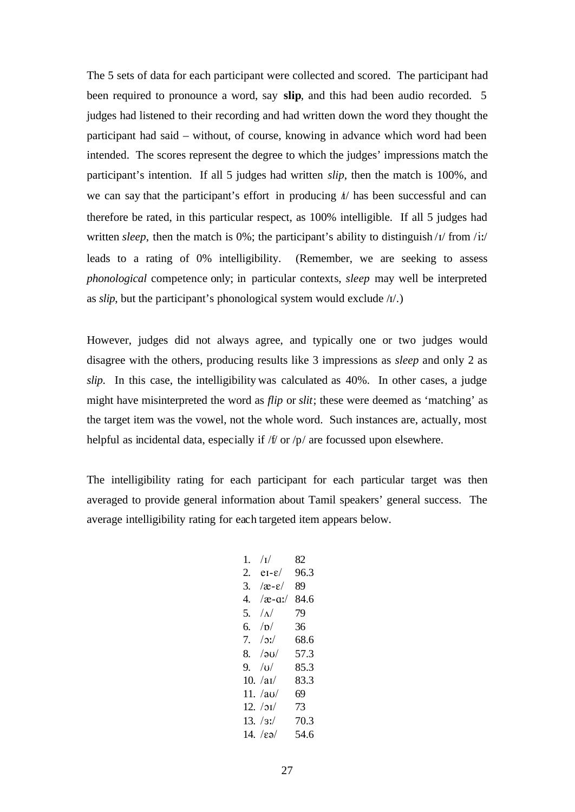The 5 sets of data for each participant were collected and scored. The participant had been required to pronounce a word, say **slip**, and this had been audio recorded. 5 judges had listened to their recording and had written down the word they thought the participant had said – without, of course, knowing in advance which word had been intended. The scores represent the degree to which the judges' impressions match the participant's intention. If all 5 judges had written *slip*, then the match is 100%, and we can say that the participant's effort in producing  $\hbar$  has been successful and can therefore be rated, in this particular respect, as 100% intelligible. If all 5 judges had written *sleep*, then the match is 0%; the participant's ability to distinguish /I/ from /i:/ leads to a rating of 0% intelligibility. (Remember, we are seeking to assess *phonological* competence only; in particular contexts, *sleep* may well be interpreted as  $slip$ , but the participant's phonological system would exclude  $\Lambda$ .)

However, judges did not always agree, and typically one or two judges would disagree with the others, producing results like 3 impressions as *sleep* and only 2 as *slip*. In this case, the intelligibility was calculated as 40%. In other cases, a judge might have misinterpreted the word as *flip* or *slit*; these were deemed as 'matching' as the target item was the vowel, not the whole word. Such instances are, actually, most helpful as incidental data, especially if /f/ or /p/ are focussed upon elsewhere.

The intelligibility rating for each participant for each particular target was then averaged to provide general information about Tamil speakers' general success. The average intelligibility rating for each targeted item appears below.

| 1. | /1/                                | 82   |
|----|------------------------------------|------|
| 2. | $eI - \epsilon/$                   | 96.3 |
| 3. | $\alpha$ - $\varepsilon$ /         | 89.  |
| 4. | $\alpha$ -a:/                      | 84.6 |
| 5. | $\Lambda$                          | 79   |
| б. | /n/                                | 36   |
| 7. | $/$ :\./                           | 68.6 |
| 8. | /2U/                               | 57.3 |
| 9. | U                                  | 85.3 |
|    | 10. $/ai/$                         | 83.3 |
|    | 11. $/au/$                         | 69   |
|    | 12. $/5I/$                         | 73.  |
|    | 13. /3!/                           | 70.3 |
|    | 14. $\sqrt{\epsilon}$ <sup>2</sup> | 54 6 |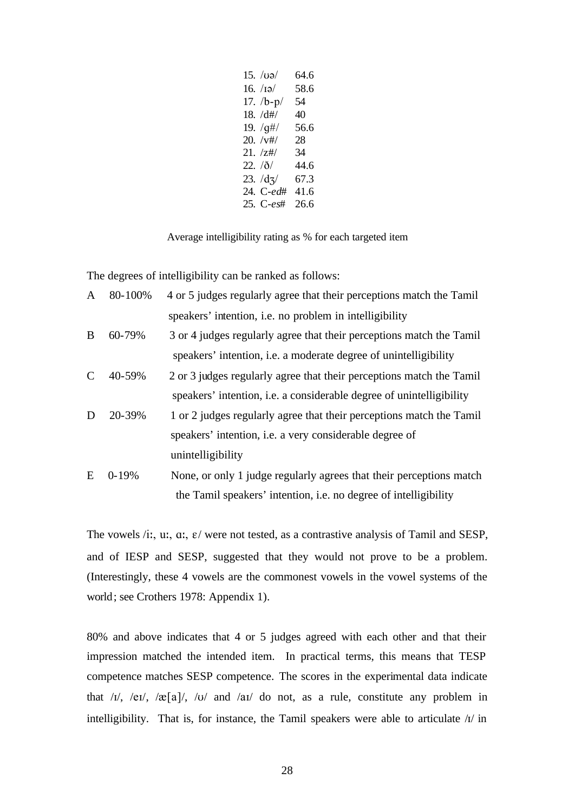| $15. \sqrt{u}$         | 64.6 |
|------------------------|------|
| 16. $/I\mathfrak{g}/I$ | 58.6 |
| 17. $/b-p/$            | 54   |
| 18. /d#/               | 40.  |
| 19. $/g\#/$            | 56.6 |
| $20. /v\#/$            | 28   |
| 21. /z#/               | 34   |
| 22. <i>/ð/</i>         | 44.6 |
| $23. /d_3/$            | 67.3 |
| 24. C-ed#              | 41.6 |
| 25. C-es#              | 26.6 |

Average intelligibility rating as % for each targeted item

The degrees of intelligibility can be ranked as follows:

| $\mathbf{A}$ | 80-100%   | 4 or 5 judges regularly agree that their perceptions match the Tamil |
|--------------|-----------|----------------------------------------------------------------------|
|              |           | speakers' intention, i.e. no problem in intelligibility              |
| B            | 60-79%    | 3 or 4 judges regularly agree that their perceptions match the Tamil |
|              |           | speakers' intention, i.e. a moderate degree of unintelligibility     |
|              | 40-59%    | 2 or 3 judges regularly agree that their perceptions match the Tamil |
|              |           | speakers' intention, i.e. a considerable degree of unintelligibility |
| D            | 20-39%    | 1 or 2 judges regularly agree that their perceptions match the Tamil |
|              |           | speakers' intention, i.e. a very considerable degree of              |
|              |           | unintelligibility                                                    |
| E            | $0 - 19%$ | None, or only 1 judge regularly agrees that their perceptions match  |
|              |           |                                                                      |

the Tamil speakers' intention, i.e. no degree of intelligibility

The vowels /i:, u:, a:,  $\varepsilon$ / were not tested, as a contrastive analysis of Tamil and SESP, and of IESP and SESP, suggested that they would not prove to be a problem. (Interestingly, these 4 vowels are the commonest vowels in the vowel systems of the world; see Crothers 1978: Appendix 1).

80% and above indicates that 4 or 5 judges agreed with each other and that their impression matched the intended item. In practical terms, this means that TESP competence matches SESP competence. The scores in the experimental data indicate that  $\sqrt{1}$ ,  $\sqrt{e}$ [ $\sqrt{1}$ ,  $\sqrt{e}$ [ $\sqrt{a}$ ] $\sqrt{u}$  and  $\sqrt{a}$  do not, as a rule, constitute any problem in intelligibility. That is, for instance, the Tamil speakers were able to articulate  $\Lambda$  in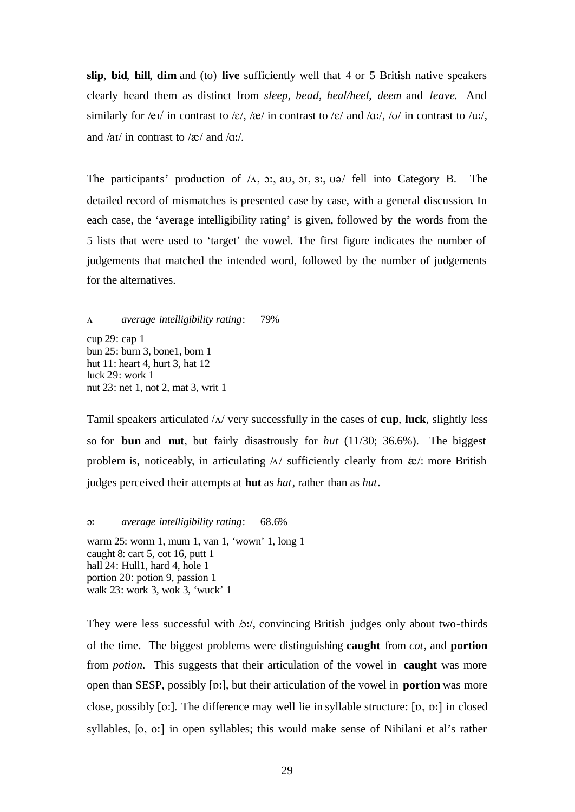**slip**, **bid**, **hill**, **dim** and (to) **live** sufficiently well that 4 or 5 British native speakers clearly heard them as distinct from *sleep*, *bead*, *heal/heel*, *deem* and *leave*. And similarly for /eɪ/ in contrast to / $\varepsilon$ /, / $\alpha$ / in contrast to / $\varepsilon$ / and / $\alpha$ :/, / $\alpha$ / in contrast to / $\alpha$ :/, and  $\alpha$ <sup>'</sup> and  $\alpha$ <sup>'</sup>.

The participants' production of  $/_A$ ,  $\sigma$ ; au,  $\sigma$ ,  $\sigma$ ,  $\sigma$  fell into Category B. The detailed record of mismatches is presented case by case, with a general discussion. In each case, the 'average intelligibility rating' is given, followed by the words from the 5 lists that were used to 'target' the vowel. The first figure indicates the number of judgements that matched the intended word, followed by the number of judgements for the alternatives.

V *average intelligibility rating*: 79% cup 29: cap 1 bun 25: burn 3, bone1, born 1 hut 11: heart 4, hurt 3, hat 12 luck 29: work 1 nut 23: net 1, not 2, mat 3, writ 1

Tamil speakers articulated  $/\Delta$  very successfully in the cases of **cup**, luck, slightly less so for **bun** and **nut**, but fairly disastrously for *hut* (11/30; 36.6%). The biggest problem is, noticeably, in articulating  $\Lambda$ / sufficiently clearly from  $\&mathbf{\&}$ : more British judges perceived their attempts at **hut** as *hat*, rather than as *hut*.

O: *average intelligibility rating*: 68.6%

warm 25: worm 1, mum 1, van 1, 'wown' 1, long 1 caught 8: cart 5, cot 16, putt 1 hall 24: Hull1, hard 4, hole 1 portion 20: potion 9, passion 1 walk 23: work 3, wok 3, 'wuck' 1

They were less successful with  $\Delta x$ , convincing British judges only about two-thirds of the time. The biggest problems were distinguishing **caught** from *cot*, and **portion**  from *potion*. This suggests that their articulation of the vowel in **caught** was more open than SESP, possibly [p:], but their articulation of the vowel in **portion** was more close, possibly  $[o!]$ . The difference may well lie in syllable structure:  $[p, p!]$  in closed syllables, [o, o:] in open syllables; this would make sense of Nihilani et al's rather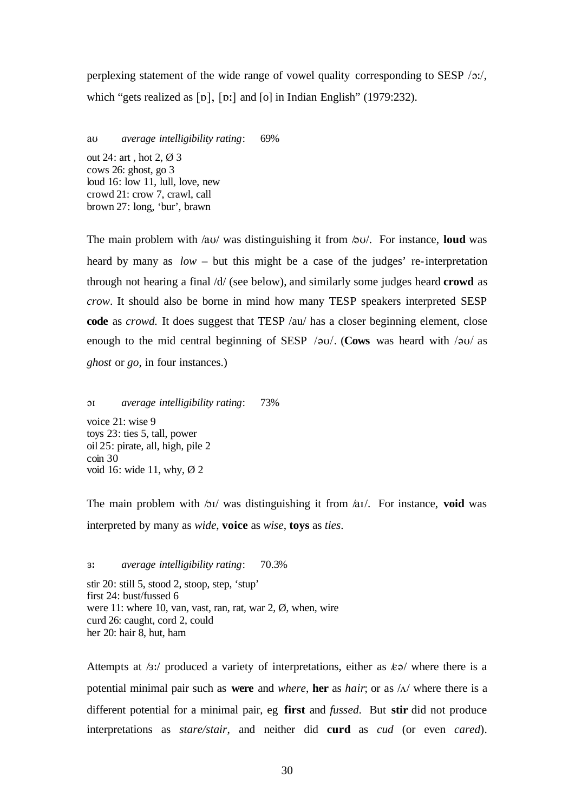perplexing statement of the wide range of vowel quality corresponding to SESP  $/2$ :/, which "gets realized as  $\lceil \mathfrak{v} \rceil$ ,  $\lceil \mathfrak{v} \rceil$  and  $\lceil \mathfrak{o} \rceil$  in Indian English" (1979:232).

aU *average intelligibility rating*: 69%

out 24: art , hot 2, Ø 3 cows 26: ghost, go 3 loud 16: low 11, lull, love, new crowd 21: crow 7, crawl, call brown 27: long, 'bur', brawn

The main problem with  $\alpha$ U/ was distinguishing it from  $\alpha$ U/. For instance, **loud** was heard by many as *low* – but this might be a case of the judges' re-interpretation through not hearing a final /d/ (see below), and similarly some judges heard **crowd** as *crow*. It should also be borne in mind how many TESP speakers interpreted SESP **code** as *crowd.* It does suggest that TESP /au/ has a closer beginning element, close enough to the mid central beginning of SESP /au/. (Cows was heard with /au/ as *ghost* or *go*, in four instances.)

OI *average intelligibility rating*: 73%

voice 21: wise 9 toys 23: ties 5, tall, power oil 25: pirate, all, high, pile 2 coin 30 void 16: wide 11, why, Ø 2

The main problem with  $\Delta I$  was distinguishing it from  $\Delta I$ . For instance, **void** was interpreted by many as *wide*, **voice** as *wise*, **toys** as *ties*.

3: *average intelligibility rating*: 70.3%

stir 20: still 5, stood 2, stoop, step, 'stup' first 24: bust/fussed 6 were 11: where 10, van, vast, ran, rat, war 2, Ø, when, wire curd 26: caught, cord 2, could her 20: hair 8, hut, ham

Attempts at  $\frac{1}{3}$ :/ produced a variety of interpretations, either as  $\frac{1}{6}$  where there is a potential minimal pair such as **were** and *where*, **her** as *hair*; or as  $\Lambda$  where there is a different potential for a minimal pair, eg **first** and *fussed*. But **stir** did not produce interpretations as *stare/stair*, and neither did **curd** as *cud* (or even *cared*).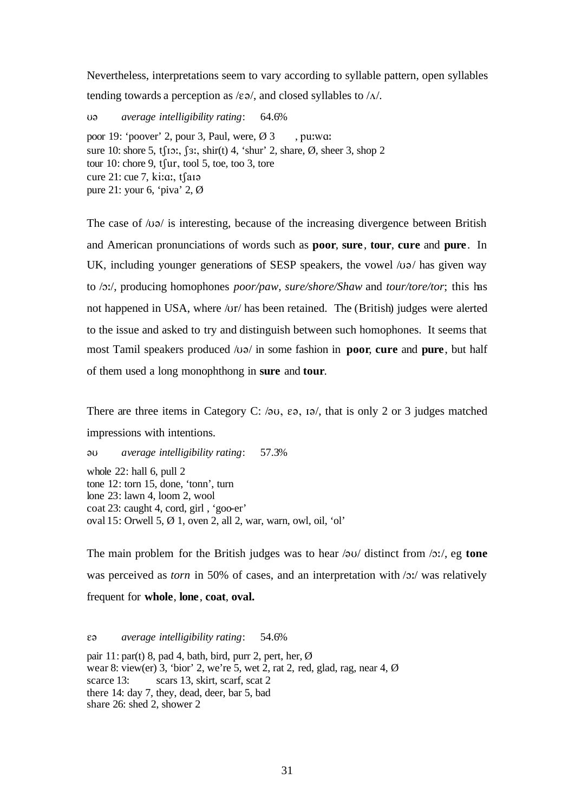Nevertheless, interpretations seem to vary according to syllable pattern, open syllables tending towards a perception as  $/\varepsilon\vartheta$ , and closed syllables to  $/\Lambda$ .

U@ *average intelligibility rating*: 64.6% poor 19: 'poover' 2, pour 3, Paul, were,  $\varnothing$  3, pu:wa: sure 10: shore 5, tf10:, f3:, shir(t) 4, 'shur' 2, share,  $\emptyset$ , sheer 3, shop 2 tour 10: chore 9,  $t$ fur, tool 5, toe, too 3, tore cure  $21$ : cue 7, ki:a:, tsai pure 21: your 6, 'piva' 2, Ø

The case of  $\sqrt{UQ}$  is interesting, because of the increasing divergence between British and American pronunciations of words such as **poor**, **sure**, **tour**, **cure** and **pure**. In UK, including younger generations of SESP speakers, the vowel  $\sqrt{u}$  has given way to /O:/, producing homophones *poor/paw*, *sure/shore/Shaw* and *tour/tore/tor*; this has not happened in USA, where /ur/ has been retained. The (British) judges were alerted to the issue and asked to try and distinguish between such homophones. It seems that most Tamil speakers produced /u $\theta$ / in some fashion in **poor**, **cure** and **pure**, but half of them used a long monophthong in **sure** and **tour**.

There are three items in Category C:  $\varphi$ U,  $\varepsilon$ ,  $\varphi$ ,  $\varphi$ , that is only 2 or 3 judges matched impressions with intentions.

@U *average intelligibility rating*: 57.3% whole 22: hall 6, pull 2 tone 12: torn 15, done, 'tonn', turn lone 23: lawn 4, loom 2, wool coat 23: caught 4, cord, girl , 'goo-er' oval 15: Orwell 5, Ø 1, oven 2, all 2, war, warn, owl, oil, 'ol'

The main problem for the British judges was to hear  $\sqrt{2}U$  distinct from  $\sqrt{2}U$ , eg **tone** was perceived as *torn* in 50% of cases, and an interpretation with  $\sqrt{2}$ ; was relatively frequent for **whole**, **lone**, **coat**, **oval.** 

E@ *average intelligibility rating*: 54.6%

pair 11: par(t) 8, pad 4, bath, bird, purr 2, pert, her,  $\emptyset$ wear 8: view(er) 3, 'bior' 2, we're 5, wet 2, rat 2, red, glad, rag, near 4, Ø scarce 13: scars 13, skirt, scarf, scat 2 there 14: day 7, they, dead, deer, bar 5, bad share 26: shed 2, shower 2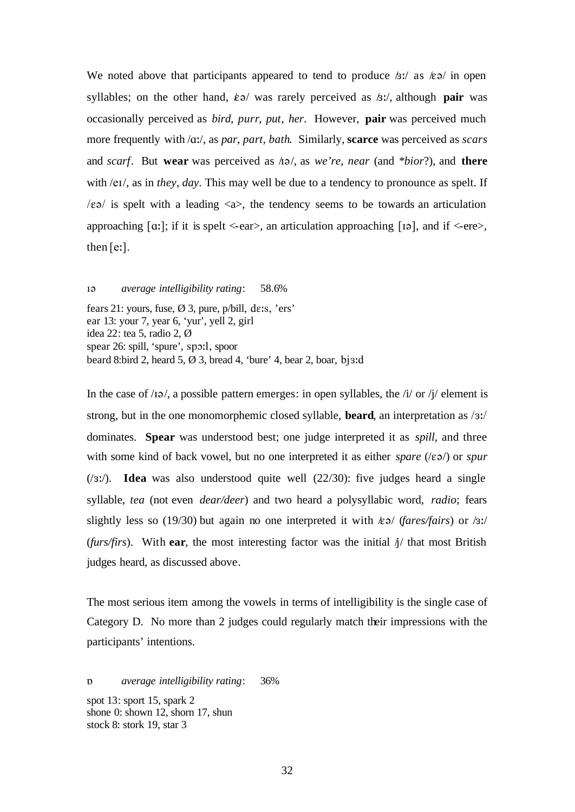We noted above that participants appeared to tend to produce  $\beta$ :/ as  $\epsilon \ge 0$  in open syllables; on the other hand,  $\&\circ$  was rarely perceived as  $\&\circ$ . although **pair** was occasionally perceived as *bird*, *purr*, *put*, *her*. However, **pair** was perceived much more frequently with /A:/, as *par*, *part, bath*. Similarly, **scarce** was perceived as *scars*  and *scarf*. But **wear** was perceived as  $\pi/2$ , as *we're*, *near* (and *\*bior?*), and **there** with /eI/, as in *they*, *day*. This may well be due to a tendency to pronounce as spelt. If  $\ell$  is spelt with a leading  $\langle a \rangle$ , the tendency seems to be towards an articulation approaching  $\lceil \alpha \rceil$ ; if it is spelt <-ear>, an articulation approaching  $\lceil \log n \rceil$ , and if <-ere>, then  $[e:].$ 

I@ *average intelligibility rating*: 58.6%

fears 21: yours, fuse,  $\varnothing$  3, pure, p/bill, de:s, 'ers' ear 13: your 7, year 6, 'yur', yell 2, girl idea 22: tea 5, radio 2, Ø spear 26: spill, 'spure', spo:l, spoor beard 8:bird 2, heard 5,  $\varnothing$  3, bread 4, 'bure' 4, bear 2, boar, bj3:d

In the case of  $/19$ , a possible pattern emerges: in open syllables, the  $/1/$  or  $/1/$  element is strong, but in the one monomorphemic closed syllable, **beard**, an interpretation as /3:/ dominates. **Spear** was understood best; one judge interpreted it as *spill*, and three with some kind of back vowel, but no one interpreted it as either *spare* ( $\epsilon \ge 0$ ) or *spur* (/3:/). **Idea** was also understood quite well (22/30): five judges heard a single syllable, *tea* (not even *dear/deer*) and two heard a polysyllabic word, *radio*; fears slightly less so (19/30) but again no one interpreted it with /E@/ (*fares/fairs*) or /3:/ (*furs/firs*). With ear, the most interesting factor was the initial  $\frac{1}{4}$  that most British judges heard, as discussed above.

The most serious item among the vowels in terms of intelligibility is the single case of Category D. No more than 2 judges could regularly match their impressions with the participants' intentions.

Q *average intelligibility rating*: 36% spot 13: sport 15, spark 2 shone 0: shown 12, shorn 17, shun stock 8: stork 19, star 3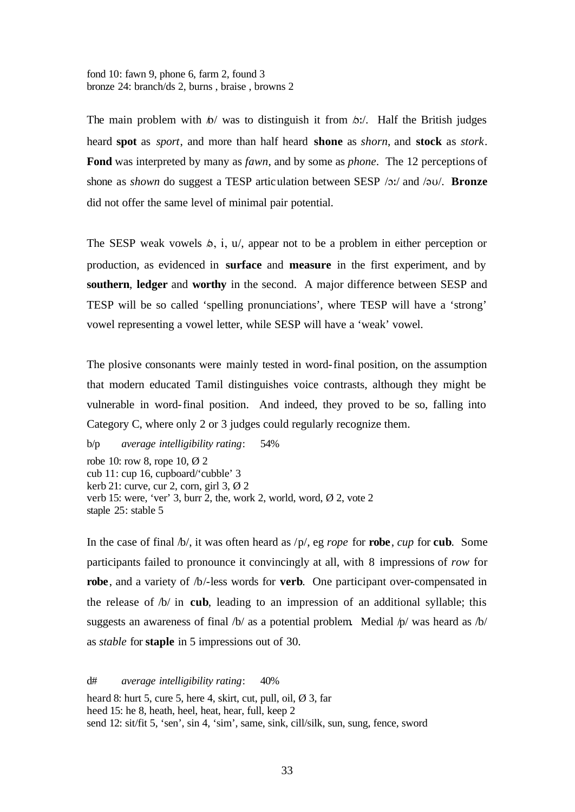fond 10: fawn 9, phone 6, farm 2, found 3 bronze 24: branch/ds 2, burns , braise , browns 2

The main problem with  $\phi$  was to distinguish it from  $\phi$ : Half the British judges heard **spot** as *sport*, and more than half heard **shone** as *shorn*, and **stock** as *stork*. **Fond** was interpreted by many as *fawn*, and by some as *phone*. The 12 perceptions of shone as *shown* do suggest a TESP articulation between SESP /o:/ and /au/. **Bronze** did not offer the same level of minimal pair potential.

The SESP weak vowels  $\phi$ , i, u/, appear not to be a problem in either perception or production, as evidenced in **surface** and **measure** in the first experiment, and by **southern**, **ledger** and **worthy** in the second. A major difference between SESP and TESP will be so called 'spelling pronunciations', where TESP will have a 'strong' vowel representing a vowel letter, while SESP will have a 'weak' vowel.

The plosive consonants were mainly tested in word-final position, on the assumption that modern educated Tamil distinguishes voice contrasts, although they might be vulnerable in word-final position. And indeed, they proved to be so, falling into Category C, where only 2 or 3 judges could regularly recognize them.

b/p *average intelligibility rating*: 54% robe 10: row 8, rope 10, Ø 2 cub 11: cup 16, cupboard/'cubble' 3 kerb 21: curve, cur 2, corn, girl 3, Ø 2 verb 15: were, 'ver' 3, burr 2, the, work 2, world, word, Ø 2, vote 2 staple 25: stable 5

In the case of final /b/, it was often heard as /p/, eg *rope* for **robe**, *cup* for **cub**. Some participants failed to pronounce it convincingly at all, with 8 impressions of *row* for **robe**, and a variety of /b/-less words for **verb**. One participant over-compensated in the release of /b/ in **cub**, leading to an impression of an additional syllable; this suggests an awareness of final  $/b/$  as a potential problem. Medial  $/p/$  was heard as  $/b/$ as *stable* for **staple** in 5 impressions out of 30.

d# *average intelligibility rating*: 40% heard 8: hurt 5, cure 5, here 4, skirt, cut, pull, oil,  $\emptyset$  3, far heed 15: he 8, heath, heel, heat, hear, full, keep 2 send 12: sit/fit 5, 'sen', sin 4, 'sim', same, sink, cill/silk, sun, sung, fence, sword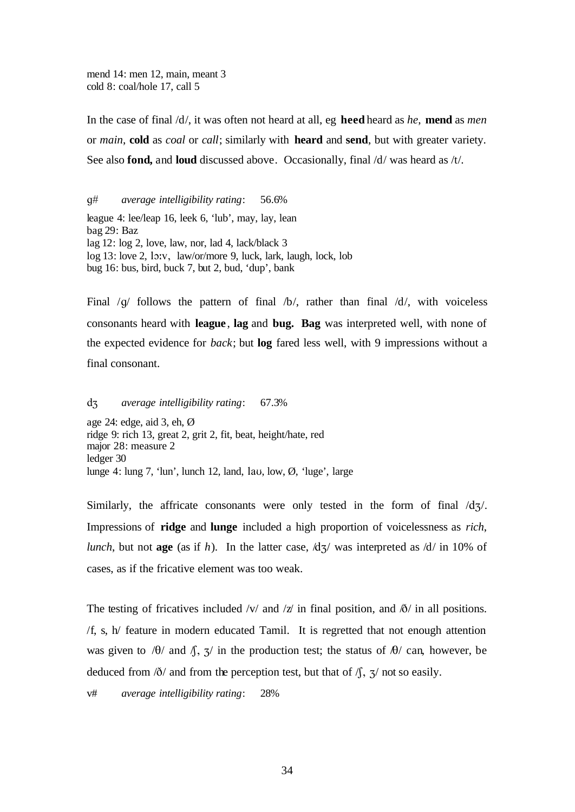mend 14: men 12, main, meant 3 cold 8: coal/hole 17, call 5

In the case of final /d/, it was often not heard at all, eg **heed** heard as *he*, **mend** as *men* or *main*, **cold** as *coal* or *call*; similarly with **heard** and **send**, but with greater variety. See also **fond,** and **loud** discussed above. Occasionally, final /d/ was heard as /t/.

g# *average intelligibility rating*: 56.6%

league 4: lee/leap 16, leek 6, 'lub', may, lay, lean bag 29: Baz lag 12: log 2, love, law, nor, lad 4, lack/black 3 log 13: love 2, lo:v, law/or/more 9, luck, lark, laugh, lock, lob bug 16: bus, bird, buck 7, but 2, bud, 'dup', bank

Final  $/q$  follows the pattern of final  $/b$ , rather than final  $/d$ , with voiceless consonants heard with **league**, **lag** and **bug. Bag** was interpreted well, with none of the expected evidence for *back*; but **log** fared less well, with 9 impressions without a final consonant.

dZ *average intelligibility rating*: 67.3%

age 24: edge, aid 3, eh, Ø ridge 9: rich 13, great 2, grit 2, fit, beat, height/hate, red major 28: measure 2 ledger 30 lunge 4: lung 7, 'lun', lunch 12, land, lav, low,  $\emptyset$ , 'luge', large

Similarly, the affricate consonants were only tested in the form of final  $\frac{dz}{}$ . Impressions of **ridge** and **lunge** included a high proportion of voicelessness as *rich*, *lunch*, but not **age** (as if *h*). In the latter case,  $\frac{d}{dx}$  was interpreted as  $\frac{d}{dx}$  in 10% of cases, as if the fricative element was too weak.

The testing of fricatives included /v/ and /z/ in final position, and  $\delta$ / in all positions. /f, s, h/ feature in modern educated Tamil. It is regretted that not enough attention was given to  $\theta$  and  $\theta$ ,  $\frac{\pi}{3}$  in the production test; the status of  $\theta$  can, however, be deduced from  $\delta/$  and from the perception test, but that of  $\delta/$ ,  $\frac{\pi}{2}$  not so easily.

v# *average intelligibility rating*: 28%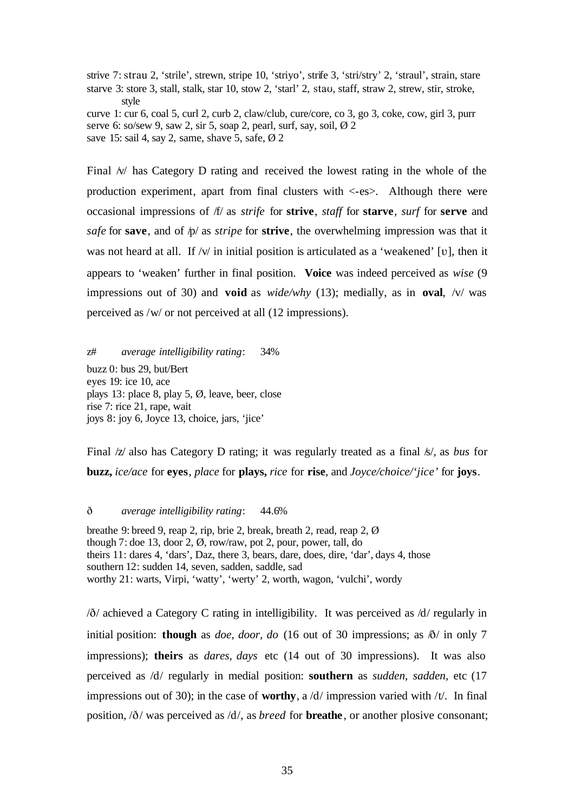strive 7: strau 2, 'strile', strewn, stripe 10, 'striyo', strife 3, 'stri/stry' 2, 'straul', strain, stare starve 3: store 3, stall, stalk, star 10, stow 2, 'starl' 2, stau, staff, straw 2, strew, stir, stroke, style curve 1: cur 6, coal 5, curl 2, curb 2, claw/club, cure/core, co 3, go 3, coke, cow, girl 3, purr

serve 6: so/sew 9, saw 2, sir 5, soap 2, pearl, surf, say, soil,  $\varnothing$  2 save 15: sail 4, say 2, same, shave 5, safe,  $\varnothing$  2

Final  $\mathcal{W}$  has Category D rating and received the lowest rating in the whole of the production experiment, apart from final clusters with <-es>. Although there were occasional impressions of /f/ as *strife* for **strive**, *staff* for **starve**, *surf* for **serve** and *safe* for **save**, and of  $p$ / as *stripe* for **strive**, the overwhelming impression was that it was not heard at all. If  $/v/$  in initial position is articulated as a 'weakened' [v], then it appears to 'weaken' further in final position. **Voice** was indeed perceived as *wise* (9 impressions out of 30) and **void** as *wide/why* (13); medially, as in **oval**, /v/ was perceived as /w/ or not perceived at all (12 impressions).

z# *average intelligibility rating*: 34% buzz 0: bus 29, but/Bert eyes 19: ice 10, ace plays 13: place 8, play 5, Ø, leave, beer, close rise 7: rice 21, rape, wait joys 8: joy 6, Joyce 13, choice, jars, 'jice'

Final /z/ also has Category D rating; it was regularly treated as a final /s/, as *bus* for **buzz,** *ice/ace* for **eyes**, *place* for **plays,** *rice* for **rise**, and *Joyce/choice/'jice'* for **joys**.

D *average intelligibility rating*: 44.6%

breathe 9: breed 9, reap 2, rip, brie 2, break, breath 2, read, reap 2, Ø though 7: doe 13, door 2, Ø, row/raw, pot 2, pour, power, tall, do theirs 11: dares 4, 'dars', Daz, there 3, bears, dare, does, dire, 'dar', days 4, those southern 12: sudden 14, seven, sadden, saddle, sad worthy 21: warts, Virpi, 'watty', 'werty' 2, worth, wagon, 'vulchi', wordy

 $\delta$  achieved a Category C rating in intelligibility. It was perceived as  $\delta$  /d regularly in initial position: **though** as *doe, door, do* (16 out of 30 impressions; as  $\delta$ / in only 7 impressions); **theirs** as *dares, days* etc (14 out of 30 impressions). It was also perceived as /d/ regularly in medial position: **southern** as *sudden*, *sadden,* etc (17 impressions out of 30); in the case of **worthy**, a /d/ impression varied with /t/. In final position,  $\delta$ / was perceived as  $\delta$ /d/, as *breed* for **breathe**, or another plosive consonant;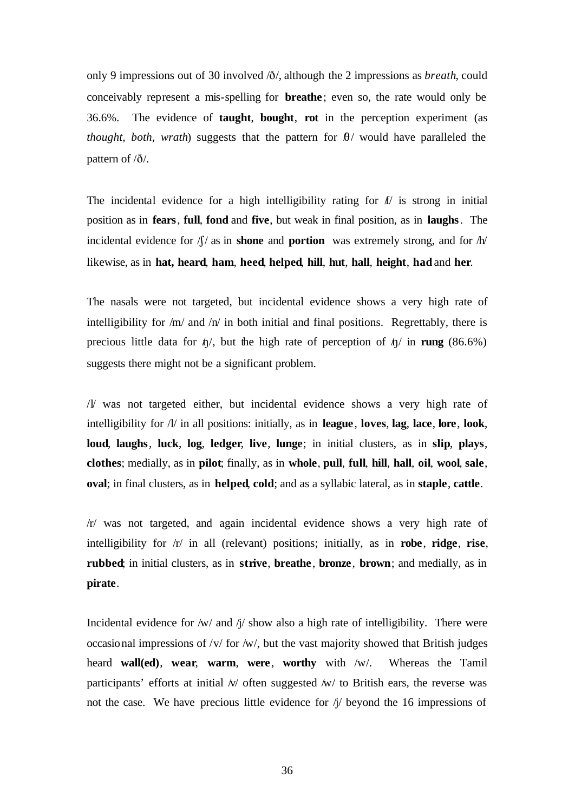only 9 impressions out of 30 involved  $\delta/$ , although the 2 impressions as *breath*, could conceivably represent a mis-spelling for **breathe** ; even so, the rate would only be 36.6%. The evidence of **taught**, **bought**, **rot** in the perception experiment (as *thought, both, wrath*) suggests that the pattern for  $\theta$ / would have paralleled the pattern of  $\partial$ .

The incidental evidence for a high intelligibility rating for  $f/$  is strong in initial position as in **fears**, **full**, **fond** and **five**, but weak in final position, as in **laughs**. The incidental evidence for  $\int \int$  as in **shone** and **portion** was extremely strong, and for  $\int h$ likewise, as in **hat, heard**, **ham**, **heed**, **helped**, **hill**, **hut**, **hall**, **height**, **had** and **her**.

The nasals were not targeted, but incidental evidence shows a very high rate of intelligibility for  $/m/$  and  $/n/$  in both initial and final positions. Regrettably, there is precious little data for  $\phi/$ , but the high rate of perception of  $\phi/$  in **rung** (86.6%) suggests there might not be a significant problem.

/l/ was not targeted either, but incidental evidence shows a very high rate of intelligibility for /l/ in all positions: initially, as in **league**, **loves**, **lag**, **lace**, **lore**, **look**, **loud**, **laughs**, **luck**, **log**, **ledger**, **live**, **lunge**; in initial clusters, as in **slip**, **plays**, **clothes**; medially, as in **pilot**; finally, as in **whole**, **pull**, **full**, **hill**, **hall**, **oil**, **wool**, **sale**, **oval**; in final clusters, as in **helped**, **cold**; and as a syllabic lateral, as in **staple**, **cattle**.

/r/ was not targeted, and again incidental evidence shows a very high rate of intelligibility for /r/ in all (relevant) positions; initially, as in **robe**, **ridge**, **rise**, **rubbed**; in initial clusters, as in **strive**, **breathe** , **bronze**, **brown**; and medially, as in **pirate**.

Incidental evidence for  $/w/$  and  $\eta/$  show also a high rate of intelligibility. There were occasional impressions of /v/ for /w/, but the vast majority showed that British judges heard **wall(ed)**, **wear**, **warm**, **were**, **worthy** with /w/. Whereas the Tamil participants' efforts at initial  $\sqrt{v}$  often suggested  $\sqrt{w}$  to British ears, the reverse was not the case. We have precious little evidence for  $\eta$  beyond the 16 impressions of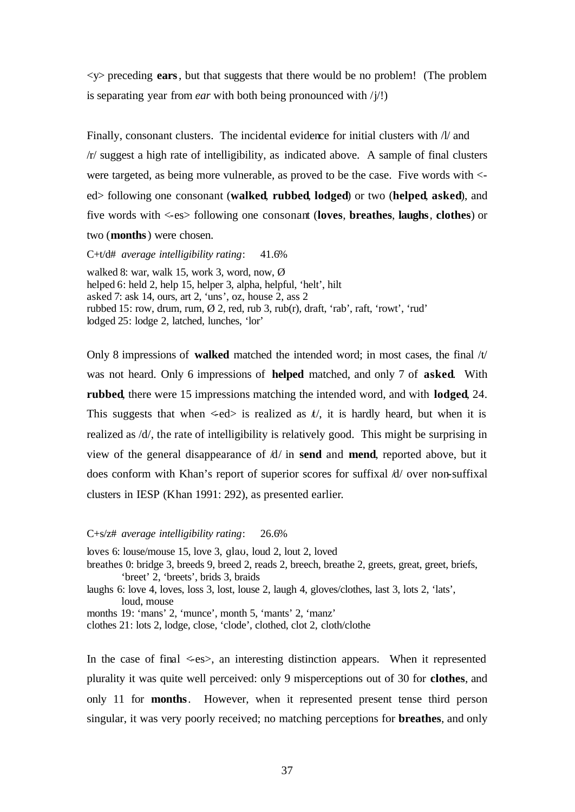<y> preceding **ears**, but that suggests that there would be no problem! (The problem is separating year from *ear* with both being pronounced with  $/j$ !)

Finally, consonant clusters. The incidental evidence for initial clusters with  $\Lambda$  and /r/ suggest a high rate of intelligibility, as indicated above. A sample of final clusters were targeted, as being more vulnerable, as proved to be the case. Five words with < ed> following one consonant (**walked**, **rubbed**, **lodged**) or two (**helped**, **asked**), and five words with <-es> following one consonant (**loves**, **breathes**, **laughs**, **clothes**) or two (**months**) were chosen.

C+t/d# *average intelligibility rating*: 41.6%

walked 8: war, walk 15, work 3, word, now, Ø helped 6: held 2, help 15, helper 3, alpha, helpful, 'helt', hilt asked 7: ask 14, ours, art 2, 'uns', oz, house 2, ass 2 rubbed 15: row, drum, rum,  $\emptyset$  2, red, rub 3, rub(r), draft, 'rab', raft, 'rowt', 'rud' lodged 25: lodge 2, latched, lunches, 'lor'

Only 8 impressions of **walked** matched the intended word; in most cases, the final  $/t/$ was not heard. Only 6 impressions of **helped** matched, and only 7 of **asked**. With **rubbed**, there were 15 impressions matching the intended word, and with **lodged**, 24. This suggests that when  $\leq$ ed $>$  is realized as  $t/$ , it is hardly heard, but when it is realized as /d/, the rate of intelligibility is relatively good. This might be surprising in view of the general disappearance of /d/ in **send** and **mend**, reported above, but it does conform with Khan's report of superior scores for suffixal /d/ over non-suffixal clusters in IESP (Khan 1991: 292), as presented earlier.

#### C+s/z# *average intelligibility rating*: 26.6%

loves 6: louse/mouse 15, love 3, glaU, loud 2, lout 2, loved

- breathes 0: bridge 3, breeds 9, breed 2, reads 2, breech, breathe 2, greets, great, greet, briefs, 'breet' 2, 'breets', brids 3, braids
- laughs 6: love 4, loves, loss 3, lost, louse 2, laugh 4, gloves/clothes, last 3, lots 2, 'lats', loud, mouse

months 19: 'mans' 2, 'munce', month 5, 'mants' 2, 'manz'

clothes 21: lots 2, lodge, close, 'clode', clothed, clot 2, cloth/clothe

In the case of final  $\leq$ es $>$ , an interesting distinction appears. When it represented plurality it was quite well perceived: only 9 misperceptions out of 30 for **clothes**, and only 11 for **months**. However, when it represented present tense third person singular, it was very poorly received; no matching perceptions for **breathes**, and only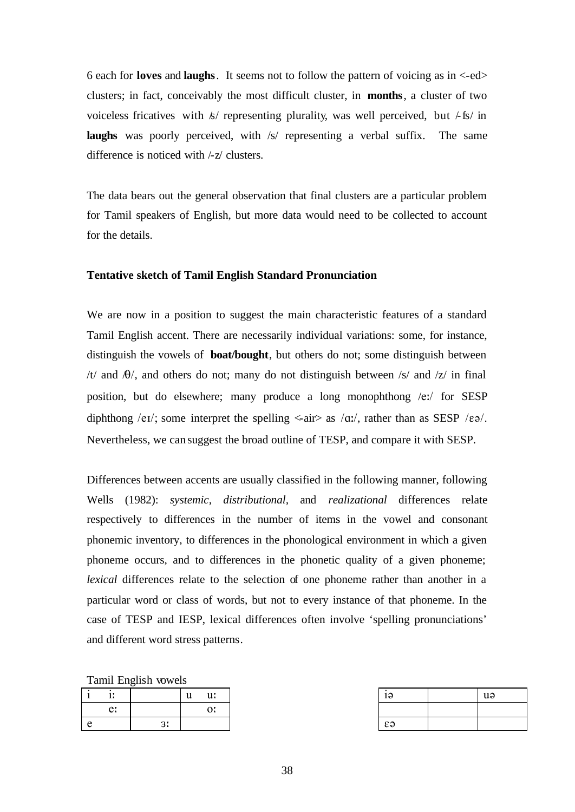6 each for **loves** and **laughs**. It seems not to follow the pattern of voicing as in <-ed> clusters; in fact, conceivably the most difficult cluster, in **months**, a cluster of two voiceless fricatives with  $\frac{k}{r}$  representing plurality, was well perceived, but  $\frac{1}{k}$  in **laughs** was poorly perceived, with /s/ representing a verbal suffix. The same difference is noticed with /-z/ clusters.

The data bears out the general observation that final clusters are a particular problem for Tamil speakers of English, but more data would need to be collected to account for the details.

# **Tentative sketch of Tamil English Standard Pronunciation**

We are now in a position to suggest the main characteristic features of a standard Tamil English accent. There are necessarily individual variations: some, for instance, distinguish the vowels of **boat/bought**, but others do not; some distinguish between /t/ and  $\theta$ /, and others do not; many do not distinguish between /s/ and /z/ in final position, but do elsewhere; many produce a long monophthong /e:/ for SESP diphthong /eɪ/; some interpret the spelling  $\langle -air \rangle$  as /q;/, rather than as SESP / $\varepsilon \partial$ . Nevertheless, we can suggest the broad outline of TESP, and compare it with SESP.

Differences between accents are usually classified in the following manner, following Wells (1982): *systemic, distributional,* and *realizational* differences relate respectively to differences in the number of items in the vowel and consonant phonemic inventory, to differences in the phonological environment in which a given phoneme occurs, and to differences in the phonetic quality of a given phoneme; *lexical* differences relate to the selection of one phoneme rather than another in a particular word or class of words, but not to every instance of that phoneme. In the case of TESP and IESP, lexical differences often involve 'spelling pronunciations' and different word stress patterns.

Tamil English vowels

|            | 1.7<br><b>A</b> |             | u:<br>ш<br>u | Ιd         | uə |
|------------|-----------------|-------------|--------------|------------|----|
|            | e:              |             | $\sim$<br>◡. |            |    |
| $\sqrt{2}$ |                 | $\sim$<br>ັ |              | $\epsilon$ |    |

| 19         | uə |
|------------|----|
|            |    |
| $\epsilon$ |    |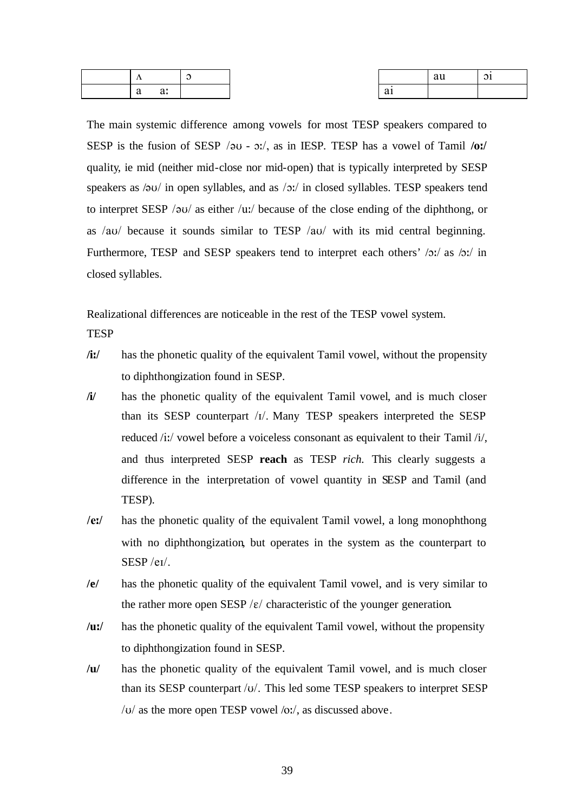| . .                    |  |                       | au | ⌒<br>$\mathbf{u}$ |
|------------------------|--|-----------------------|----|-------------------|
| $\sim$<br>$\mathbf{u}$ |  | $\sim$<br>$a_{\perp}$ |    |                   |

The main systemic difference among vowels for most TESP speakers compared to SESP is the fusion of SESP /@U - O:/, as in IESP. TESP has a vowel of Tamil **/o:/** quality, ie mid (neither mid-close nor mid-open) that is typically interpreted by SESP speakers as  $\sqrt{2}U/\sqrt{U}$  in open syllables, and as  $\sqrt{2}U/\sqrt{U}$  in closed syllables. TESP speakers tend to interpret SESP / $\partial U$  as either /u:/ because of the close ending of the diphthong, or as /au/ because it sounds similar to TESP /au/ with its mid central beginning. Furthermore, TESP and SESP speakers tend to interpret each others'  $\sqrt{2}$ ; as  $\sqrt{2}$ ; in closed syllables.

Realizational differences are noticeable in the rest of the TESP vowel system.

- **TESP**
- **/i:/** has the phonetic quality of the equivalent Tamil vowel, without the propensity to diphthongization found in SESP.
- **/i/** has the phonetic quality of the equivalent Tamil vowel, and is much closer than its SESP counterpart /I/. Many TESP speakers interpreted the SESP reduced /i:/ vowel before a voiceless consonant as equivalent to their Tamil /i/, and thus interpreted SESP **reach** as TESP *rich.* This clearly suggests a difference in the interpretation of vowel quantity in SESP and Tamil (and TESP).
- **/e:/** has the phonetic quality of the equivalent Tamil vowel, a long monophthong with no diphthongization, but operates in the system as the counterpart to SESP /eI/.
- **/e/** has the phonetic quality of the equivalent Tamil vowel, and is very similar to the rather more open SESP  $/\varepsilon$  characteristic of the younger generation.
- **/u:/** has the phonetic quality of the equivalent Tamil vowel, without the propensity to diphthongization found in SESP.
- **/u/** has the phonetic quality of the equivalent Tamil vowel, and is much closer than its SESP counterpart /v/. This led some TESP speakers to interpret SESP  $\sqrt{U}$  as the more open TESP vowel  $\sqrt{U}$ , as discussed above.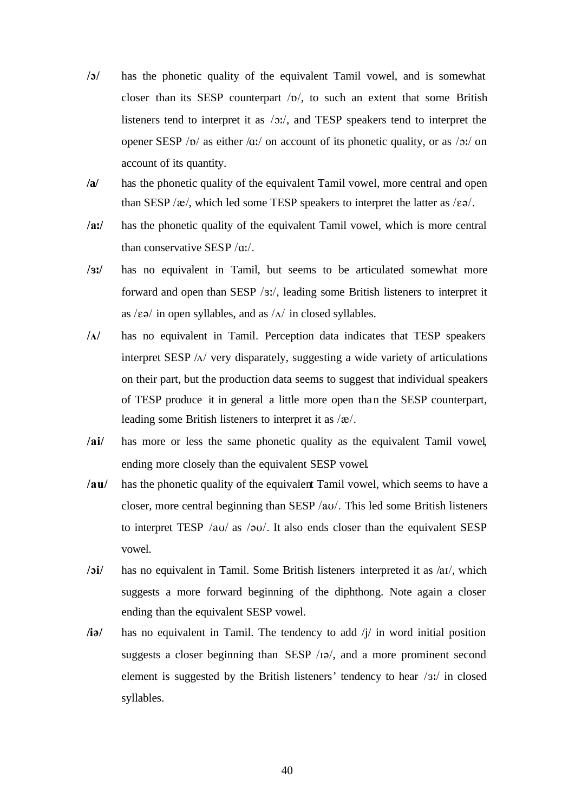- **/O/** has the phonetic quality of the equivalent Tamil vowel, and is somewhat closer than its SESP counterpart  $|D|$ , to such an extent that some British listeners tend to interpret it as /O:/, and TESP speakers tend to interpret the opener SESP / $p$ / as either / $q$ :/ on account of its phonetic quality, or as / $p$ :/ on account of its quantity.
- **/a/** has the phonetic quality of the equivalent Tamil vowel, more central and open than SESP / $\alpha$ /, which led some TESP speakers to interpret the latter as / $\epsilon \vartheta$ /.
- **/a:/** has the phonetic quality of the equivalent Tamil vowel, which is more central than conservative SESP /q:/.
- **/3:/** has no equivalent in Tamil, but seems to be articulated somewhat more forward and open than SESP /3:/, leading some British listeners to interpret it as  $\sqrt{\epsilon}$  in open syllables, and as  $\sqrt{\Delta}$  in closed syllables.
- $/\Lambda$  has no equivalent in Tamil. Perception data indicates that TESP speakers interpret SESP  $/\Delta$  very disparately, suggesting a wide variety of articulations on their part, but the production data seems to suggest that individual speakers of TESP produce it in general a little more open than the SESP counterpart, leading some British listeners to interpret it as  $/\mathcal{R}/.$
- **/ai/** has more or less the same phonetic quality as the equivalent Tamil vowel, ending more closely than the equivalent SESP vowel.
- **/au/** has the phonetic quality of the equivalent Tamil vowel, which seems to have a closer, more central beginning than SESP /aU/. This led some British listeners to interpret TESP /au/ as /au/. It also ends closer than the equivalent SESP vowel.
- **/Oi/** has no equivalent in Tamil. Some British listeners interpreted it as /aI/, which suggests a more forward beginning of the diphthong. Note again a closer ending than the equivalent SESP vowel.
- **/ia/** has no equivalent in Tamil. The tendency to add  $\frac{1}{4}$  in word initial position suggests a closer beginning than SESP  $/19/$ , and a more prominent second element is suggested by the British listeners' tendency to hear /3:/ in closed syllables.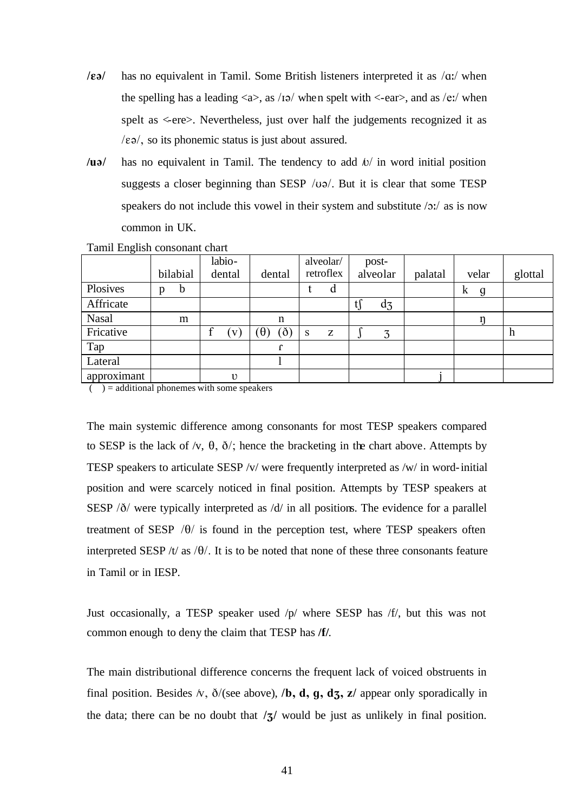- **/** $\varepsilon$ **a/** has no equivalent in Tamil. Some British listeners interpreted it as  $\alpha$ :/ when the spelling has a leading  $\langle a \rangle$ , as /19/ when spelt with  $\langle -ear \rangle$ , and as /e:/ when spelt as <-ere>. Nevertheless, just over half the judgements recognized it as  $\ell$  (Eq. 5), so its phonemic status is just about assured.
- **/** $u$ **a** has no equivalent in Tamil. The tendency to add  $\omega$  in word initial position suggests a closer beginning than SESP  $/\upsilon\varphi$ . But it is clear that some TESP speakers do not include this vowel in their system and substitute  $\sqrt{2}$  as is now common in UK.

|                                                                        |   |               |                 | labio-     |          |          |              | alveolar/ | post- |          |  |  |   |                |   |       |         |
|------------------------------------------------------------------------|---|---------------|-----------------|------------|----------|----------|--------------|-----------|-------|----------|--|--|---|----------------|---|-------|---------|
|                                                                        |   | bilabial      |                 | dental     |          | dental   |              | retroflex |       | alveolar |  |  |   | palatal        |   | velar | glottal |
| Plosives                                                               | p | $\mathfrak b$ |                 |            |          |          |              | d         |       |          |  |  | k | $\mathfrak{g}$ |   |       |         |
| Affricate                                                              |   |               |                 |            |          |          |              |           | $t$ ∫ | $d_3$    |  |  |   |                |   |       |         |
| <b>Nasal</b>                                                           |   | m             |                 |            |          | n        |              |           |       |          |  |  |   |                |   |       |         |
| Fricative                                                              |   |               |                 | V          | $\theta$ | $\delta$ | <sub>S</sub> | Z         |       | 3        |  |  |   |                | h |       |         |
| Tap                                                                    |   |               |                 |            |          |          |              |           |       |          |  |  |   |                |   |       |         |
| Lateral                                                                |   |               |                 |            |          |          |              |           |       |          |  |  |   |                |   |       |         |
| approximant<br>$\sim$ $\sim$ $\sim$ $\sim$ $\sim$ $\sim$ $\sim$ $\sim$ | . |               | $\cdot$ $\cdot$ | $\upsilon$ |          |          |              |           |       |          |  |  |   |                |   |       |         |

Tamil English consonant chart

 $( )$  = additional phonemes with some speakers

The main systemic difference among consonants for most TESP speakers compared to SESP is the lack of  $\sqrt{v}$ ,  $\theta$ ,  $\delta$ ; hence the bracketing in the chart above. Attempts by TESP speakers to articulate SESP /v/ were frequently interpreted as /w/ in word-initial position and were scarcely noticed in final position. Attempts by TESP speakers at SESP  $\delta$ / $\delta$  were typically interpreted as  $\delta$ / $\delta$  in all positions. The evidence for a parallel treatment of SESP  $/\theta$  is found in the perception test, where TESP speakers often interpreted SESP /t/ as / $\theta$ /. It is to be noted that none of these three consonants feature in Tamil or in IESP.

Just occasionally, a TESP speaker used /p/ where SESP has /f/, but this was not common enough to deny the claim that TESP has **/f/**.

The main distributional difference concerns the frequent lack of voiced obstruents in final position. Besides  $\land$ ,  $\delta$ /(see above), **/b, d, g, dz, z/** appear only sporadically in the data; there can be no doubt that  $\frac{1}{3}$  would be just as unlikely in final position.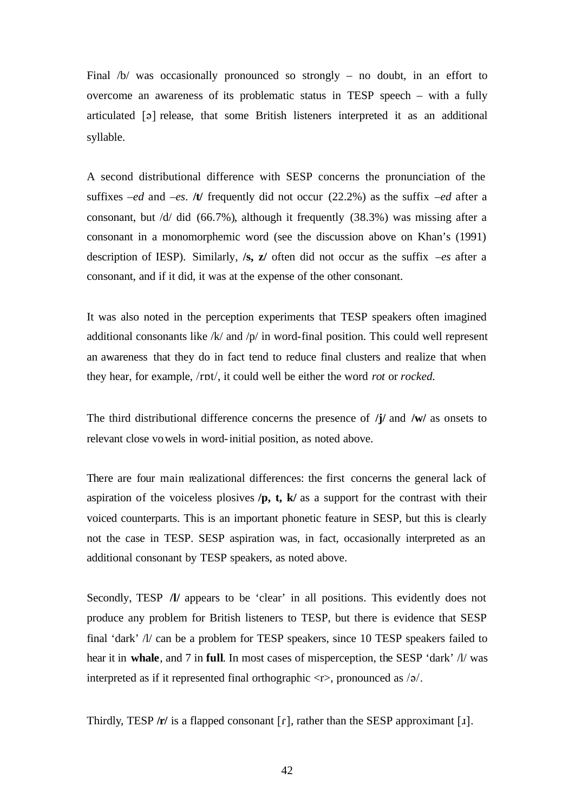Final /b/ was occasionally pronounced so strongly – no doubt, in an effort to overcome an awareness of its problematic status in TESP speech – with a fully articulated [@] release, that some British listeners interpreted it as an additional syllable.

A second distributional difference with SESP concerns the pronunciation of the suffixes *–ed* and *–es*. **/t/** frequently did not occur (22.2%) as the suffix *–ed* after a consonant, but /d/ did (66.7%), although it frequently (38.3%) was missing after a consonant in a monomorphemic word (see the discussion above on Khan's (1991) description of IESP). Similarly, **/s, z/** often did not occur as the suffix *–es* after a consonant, and if it did, it was at the expense of the other consonant.

It was also noted in the perception experiments that TESP speakers often imagined additional consonants like  $/k$  and  $/p$  in word-final position. This could well represent an awareness that they do in fact tend to reduce final clusters and realize that when they hear, for example, /rpt/, it could well be either the word *rot* or *rocked*.

The third distributional difference concerns the presence of **/j/** and **/w/** as onsets to relevant close vowels in word-initial position, as noted above.

There are four main realizational differences: the first concerns the general lack of aspiration of the voiceless plosives **/p, t, k/** as a support for the contrast with their voiced counterparts. This is an important phonetic feature in SESP, but this is clearly not the case in TESP. SESP aspiration was, in fact, occasionally interpreted as an additional consonant by TESP speakers, as noted above.

Secondly, TESP *IV* appears to be 'clear' in all positions. This evidently does not produce any problem for British listeners to TESP, but there is evidence that SESP final 'dark' /l/ can be a problem for TESP speakers, since 10 TESP speakers failed to hear it in **whale**, and 7 in **full**. In most cases of misperception, the SESP 'dark' /l/ was interpreted as if it represented final orthographic  $\langle r \rangle$ , pronounced as  $/\varphi$ .

Thirdly, TESP  $/r/$  is a flapped consonant  $[r]$ , rather than the SESP approximant [1].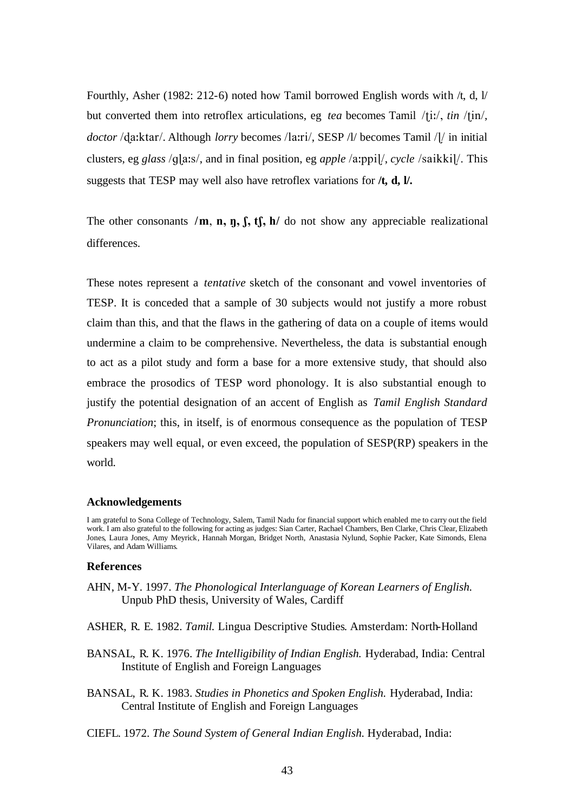Fourthly, Asher (1982: 212-6) noted how Tamil borrowed English words with /t, d, l/ but converted them into retroflex articulations, eg *tea* becomes Tamil /tiː/, *tin* /tin/, *doctor* /da:ktar/. Although *lorry* becomes /la:ri/, SESP /l/ becomes Tamil /l/ in initial clusters, eg *glass* /g[aːs/, and in final position, eg *apple* /a:ppi]/, *cycle* /saikki]/. This suggests that TESP may well also have retroflex variations for **/t, d, l/.**

The other consonants  $/m$ , **n, f, f, f, h** do not show any appreciable realizational differences.

These notes represent a *tentative* sketch of the consonant and vowel inventories of TESP. It is conceded that a sample of 30 subjects would not justify a more robust claim than this, and that the flaws in the gathering of data on a couple of items would undermine a claim to be comprehensive. Nevertheless, the data is substantial enough to act as a pilot study and form a base for a more extensive study, that should also embrace the prosodics of TESP word phonology. It is also substantial enough to justify the potential designation of an accent of English as *Tamil English Standard Pronunciation*; this, in itself, is of enormous consequence as the population of TESP speakers may well equal, or even exceed, the population of SESP(RP) speakers in the world.

### **Acknowledgements**

I am grateful to Sona College of Technology, Salem, Tamil Nadu for financial support which enabled me to carry out the field work. I am also grateful to the following for acting as judges: Sian Carter, Rachael Chambers, Ben Clarke, Chris Clear, Elizabeth Jones, Laura Jones, Amy Meyrick, Hannah Morgan, Bridget North, Anastasia Nylund, Sophie Packer, Kate Simonds, Elena Vilares, and Adam Williams.

### **References**

- AHN, M-Y. 1997. *The Phonological Interlanguage of Korean Learners of English.* Unpub PhD thesis, University of Wales, Cardiff
- ASHER, R. E. 1982. *Tamil.* Lingua Descriptive Studies. Amsterdam: North-Holland
- BANSAL, R. K. 1976. *The Intelligibility of Indian English.* Hyderabad, India: Central Institute of English and Foreign Languages
- BANSAL, R. K. 1983. *Studies in Phonetics and Spoken English.* Hyderabad, India: Central Institute of English and Foreign Languages
- CIEFL. 1972. *The Sound System of General Indian English.* Hyderabad, India: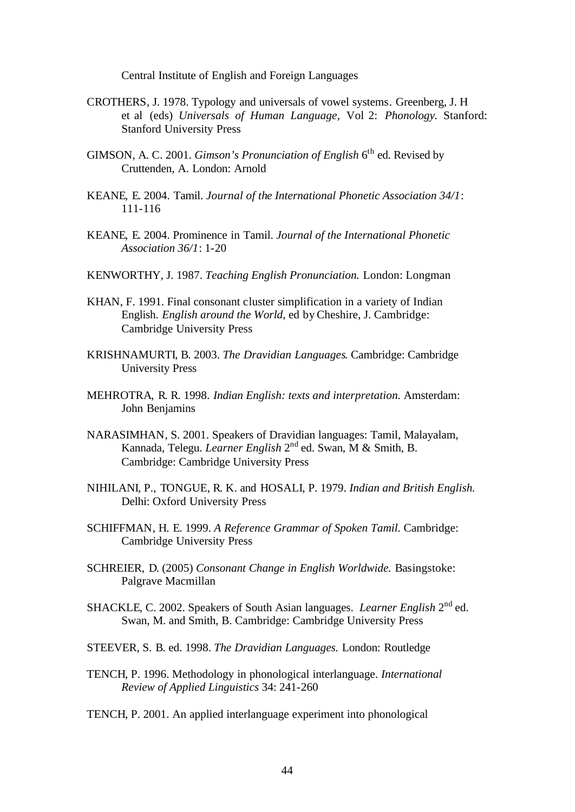Central Institute of English and Foreign Languages

- CROTHERS, J. 1978. Typology and universals of vowel systems. Greenberg, J. H et al (eds) *Universals of Human Language,* Vol 2: *Phonology.* Stanford: Stanford University Press
- GIMSON, A. C. 2001. *Gimson's Pronunciation of English* 6<sup>th</sup> ed. Revised by Cruttenden, A. London: Arnold
- KEANE, E. 2004. Tamil. *Journal of the International Phonetic Association 34/1*: 111-116
- KEANE, E. 2004. Prominence in Tamil. *Journal of the International Phonetic Association 36/1*: 1-20
- KENWORTHY, J. 1987. *Teaching English Pronunciation.* London: Longman
- KHAN, F. 1991. Final consonant cluster simplification in a variety of Indian English. *English around the World*, ed byCheshire, J. Cambridge: Cambridge University Press
- KRISHNAMURTI, B. 2003. *The Dravidian Languages.* Cambridge: Cambridge University Press
- MEHROTRA, R. R. 1998. *Indian English: texts and interpretation.* Amsterdam: John Benjamins
- NARASIMHAN, S. 2001. Speakers of Dravidian languages: Tamil, Malayalam, Kannada, Telegu. *Learner English* 2<sup>nd</sup> ed. Swan, M & Smith, B. Cambridge: Cambridge University Press
- NIHILANI, P., TONGUE, R. K. and HOSALI, P. 1979. *Indian and British English.* Delhi: Oxford University Press
- SCHIFFMAN, H. E. 1999. *A Reference Grammar of Spoken Tamil.* Cambridge: Cambridge University Press
- SCHREIER, D. (2005) *Consonant Change in English Worldwide.* Basingstoke: Palgrave Macmillan
- SHACKLE, C. 2002. Speakers of South Asian languages. *Learner English* 2<sup>nd</sup> ed. Swan, M. and Smith, B. Cambridge: Cambridge University Press
- STEEVER, S. B. ed. 1998. *The Dravidian Languages.* London: Routledge
- TENCH, P. 1996. Methodology in phonological interlanguage. *International Review of Applied Linguistics* 34: 241-260
- TENCH, P. 2001. An applied interlanguage experiment into phonological